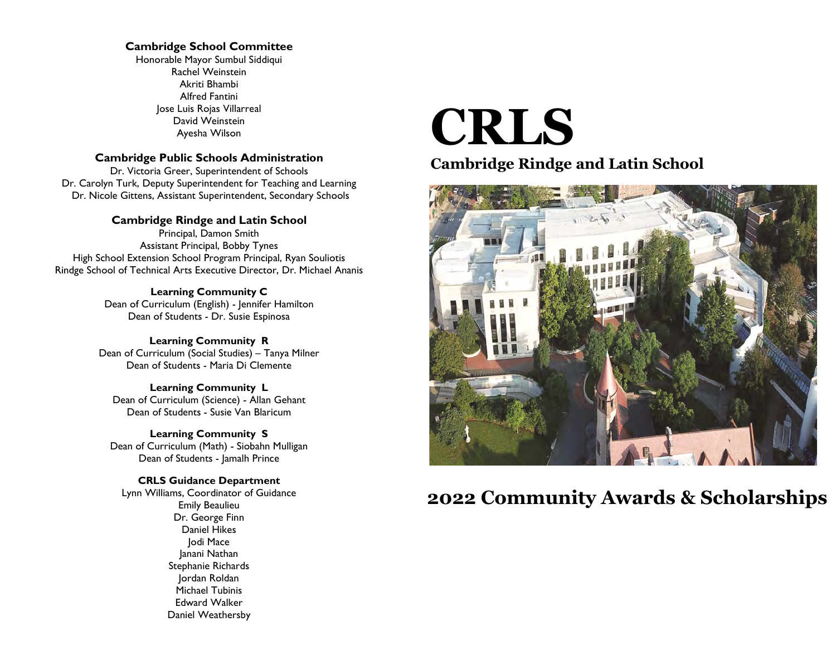#### Cambridge School Committee

 Alfred Fantini Jose Luis Rojas Villarreal Ayesha Wilson Honorable Mayor Sumbul Siddiqui Rachel Weinstein Akriti Bhambi David Weinstein

#### Cambridge Public Schools Administration

 Dr. Victoria Greer, Superintendent of Schools Dr. Carolyn Turk, Deputy Superintendent for Teaching and Learning Dr. Nicole Gittens, Assistant Superintendent, Secondary Schools

#### Cambridge Rindge and Latin School Principal, Damon Smith

 Assistant Principal, Bobby Tynes High School Extension School Program Principal, Ryan Souliotis Rindge School of Technical Arts Executive Director, Dr. Michael Ananis

> Learning Community C Dean of Curriculum (English) - Jennifer Hamilton Dean of Students - Dr. Susie Espinosa

 Learning Community R Dean of Curriculum (Social Studies) – Tanya Milner Dean of Students - Maria Di Clemente

 Learning Community L Dean of Curriculum (Science) - Allan Gehant Dean of Students - Susie Van Blaricum

 Learning Community S Dean of Curriculum (Math) - Siobahn Mulligan Dean of Students - Jamalh Prince

 Lynn Williams, Coordinator of Guidance Emily Beaulieu Jordan Roldan Edward Walker CRLS Guidance Department Dr. George Finn Daniel Hikes Jodi Mace Janani Nathan Stephanie Richards Michael Tubinis Daniel Weathersby

# CRLS

Cambridge Rindge and Latin School



# 2022 Community Awards & Scholarships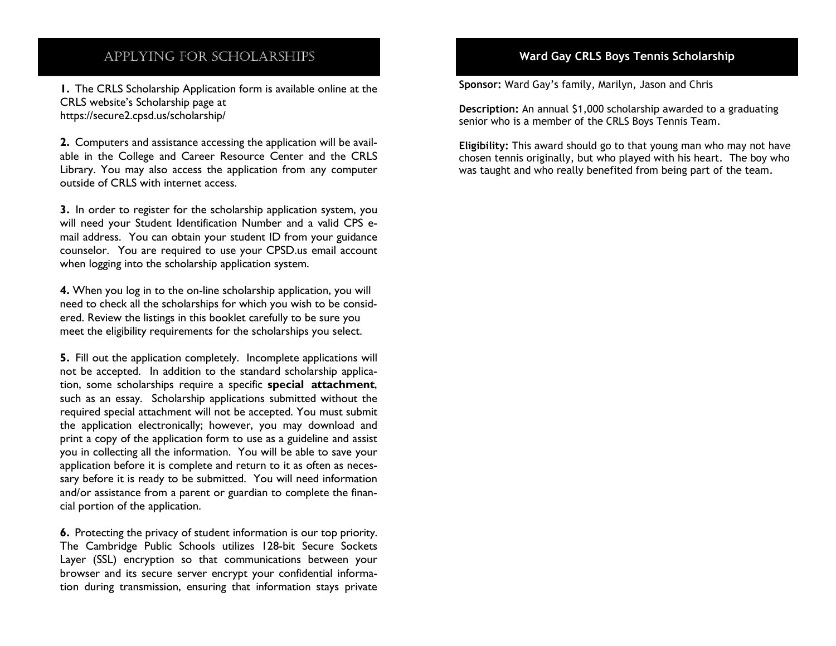# APPLYING FOR SCHOLARSHIPS

 CRLS website's Scholarship page at 1. The CRLS Scholarship Application form is available online at the [https://secure2.cpsd.us/scholarship/](https://secure2.cpsd.us/scholarship)

2. Computers and assistance accessing the application will be avail- able in the College and Career Resource Center and the CRLS Library. You may also access the application from any computer outside of CRLS with internet access.

3. In order to register for the scholarship application system, you will need your Student Identification Number and a valid CPS e- mail address. You can obtain your student ID from your guidance counselor. You are required to use your CPSD.us email account when logging into the scholarship application system.

4. When you log in to the on-line scholarship application, you will need to check all the scholarships for which you wish to be consid- ered. Review the listings in this booklet carefully to be sure you meet the eligibility requirements for the scholarships you select.

5. Fill out the application completely. Incomplete applications will not be accepted. In addition to the standard scholarship application, some scholarships require a specific special attachment, such as an essay. Scholarship applications submitted without the required special attachment will not be accepted. You must submit the application electronically; however, you may download and print a copy of the application form to use as a guideline and assist you in collecting all the information. You will be able to save your application before it is complete and return to it as often as neces- sary before it is ready to be submitted. You will need information and/or assistance from a parent or guardian to complete the finan-cial portion of the application.

**6.** Protecting the privacy of student information is our top priority. The Cambridge Public Schools utilizes 128-bit Secure Sockets Layer (SSL) encryption so that communications between your browser and its secure server encrypt your confidential informa-tion during transmission, ensuring that information stays private

# Ward Gay CRLS Boys Tennis Scholarship

Sponsor: Ward Gay's family, Marilyn, Jason and Chris

 senior who is a member of the CRLS Boys Tennis Team. Description: An annual \$1,000 scholarship awarded to a graduating

 chosen tennis originally, but who played with his heart. The boy who Eligibility: This award should go to that young man who may not have was taught and who really benefited from being part of the team.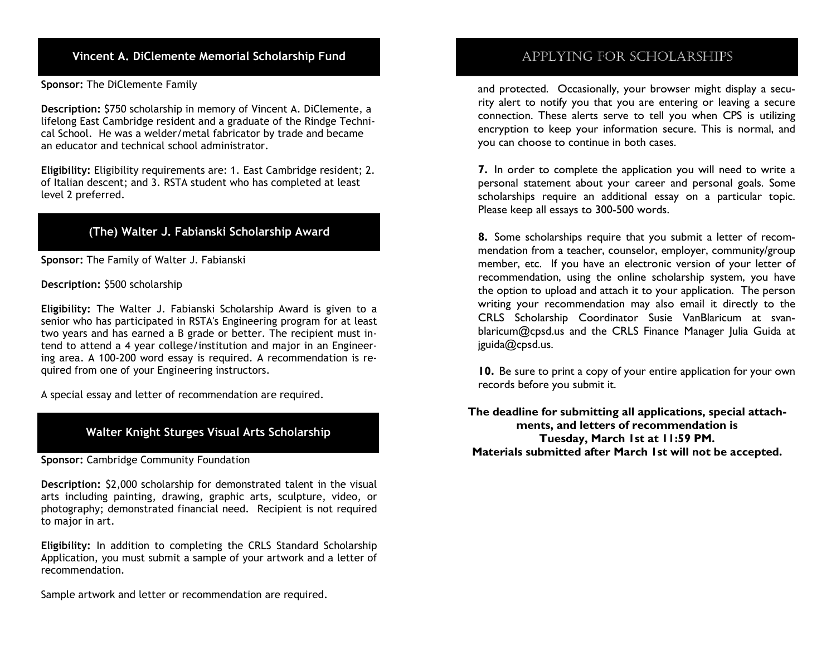Vincent A. DiClemente Memorial Scholarship Fund and applying the SCHOLARSHIPS of APPLYING FOR SCHOLARSHIPS

Sponsor: The DiClemente Family

 Description: \$750 scholarship in memory of Vincent A. DiClemente, a cal School. He was a welder/metal fabricator by trade and became an educator and technical school administrator. lifelong East Cambridge resident and a graduate of the Rindge Techni-

 Eligibility: Eligibility requirements are: 1. East Cambridge resident; 2. of Italian descent; and 3. RSTA student who has completed at least level 2 preferred.

# (The) Walter J. Fabianski Scholarship Award

Sponsor: The Family of Walter J. Fabianski

Description: \$500 scholarship

 Eligibility: The Walter J. Fabianski Scholarship Award is given to a senior who has participated in RSTA's Engineering program for at least two years and has earned a B grade or better. The recipient must in- tend to attend a 4 year college/institution and major in an Engineer- ing area. A 100-200 word essay is required. A recommendation is required from one of your Engineering instructors.

A special essay and letter of recommendation are required.

# Walter Knight Sturges Visual Arts Scholarship

Sponsor: Cambridge Community Foundation

 Description: \$2,000 scholarship for demonstrated talent in the visual arts including painting, drawing, graphic arts, sculpture, video, or photography; demonstrated financial need. Recipient is not required to major in art.

 Eligibility: In addition to completing the CRLS Standard Scholarship Application, you must submit a sample of your artwork and a letter of recommendation.

Sample artwork and letter or recommendation are required.

 and protected. Occasionally, your browser might display a secu- rity alert to notify you that you are entering or leaving a secure connection. These alerts serve to tell you when CPS is utilizing encryption to keep your information secure. This is normal, and you can choose to continue in both cases.

7. In order to complete the application you will need to write a personal statement about your career and personal goals. Some scholarships require an additional essay on a particular topic. Please keep all essays to 300-500 words.

 mendation from a teacher, counselor, employer, community/group member, etc. If you have an electronic version of your letter of recommendation, using the online scholarship system, you have the option to upload and attach it to your application. The person writing your recommendation may also email it directly to the CRLS Scholarship Coordinator Susie VanBlaricum at svan- [blaricum@cpsd.us](mailto:blaricum@cpsd.us) and the CRLS Finance Manager Julia Guida at [jguida@cpsd.us.](mailto:jguida@cpsd.us) 8. Some scholarships require that you submit a letter of recom-

10. Be sure to print a copy of your entire application for your own records before you submit it.

 The deadline for submitting all applications, special attach- ments, and letters of recommendation is Tuesday, March 1st at 11:59 PM. Materials submitted after March 1st will not be accepted.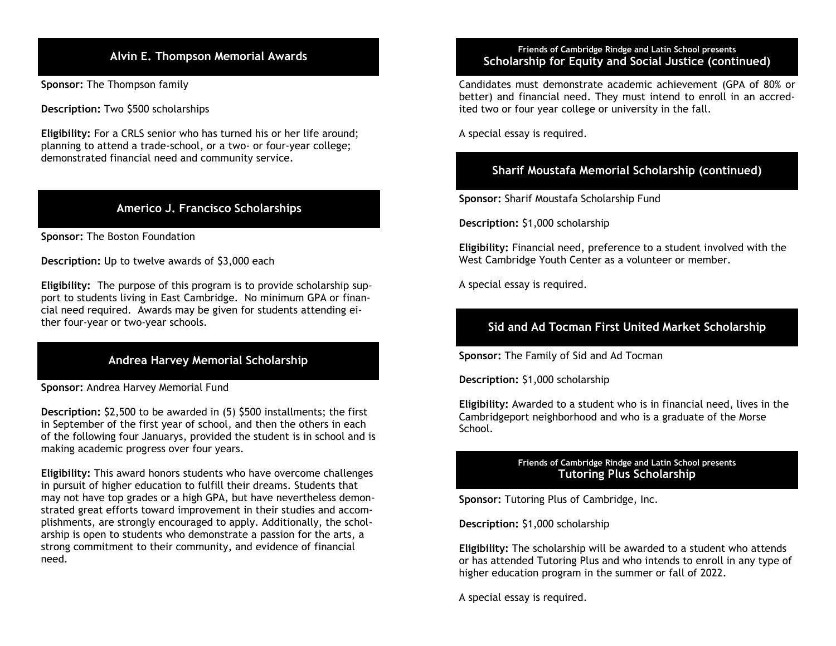Sponsor: The Thompson family

Description: Two \$500 scholarships

 Eligibility: For a CRLS senior who has turned his or her life around; planning to attend a trade-school, or a two- or four-year college; demonstrated financial need and community service.

# Americo J. Francisco Scholarships

Sponsor: The Boston Foundation

Description: Up to twelve awards of \$3,000 each

 Eligibility: The purpose of this program is to provide scholarship sup- port to students living in East Cambridge. No minimum GPA or finan- cial need required. Awards may be given for students attending either four-year or two-year schools.

# Andrea Harvey Memorial Scholarship

Sponsor: Andrea Harvey Memorial Fund

 making academic progress over four years. Description: \$2,500 to be awarded in (5) \$500 installments; the first in September of the first year of school, and then the others in each of the following four Januarys, provided the student is in school and is

 in pursuit of higher education to fulfill their dreams. Students that may not have top grades or a high GPA, but have nevertheless demon- plishments, are strongly encouraged to apply. Additionally, the schol- arship is open to students who demonstrate a passion for the arts, a need. Eligibility: This award honors students who have overcome challenges strated great efforts toward improvement in their studies and accomstrong commitment to their community, and evidence of financial

#### Friends of Cambridge Rindge and Latin School presents<br>Alvin E. Thompson Memorial Awards Franch Scholarshin for Fauity and Social Justice (cont Friends of Cambridge Rindge and Latin School presents Scholarship for Equity and Social Justice (continued)

 Candidates must demonstrate academic achievement (GPA of 80% or better) and financial need. They must intend to enroll in an accred-ited two or four year college or university in the fall.

A special essay is required.

# Sharif Moustafa Memorial Scholarship (continued)

Sponsor: Sharif Moustafa Scholarship Fund

Description: \$1,000 scholarship

Eligibility: Financial need, preference to a student involved with the West Cambridge Youth Center as a volunteer or member.

A special essay is required.

# Sid and Ad Tocman First United Market Scholarship

Sponsor: The Family of Sid and Ad Tocman

Description: \$1,000 scholarship

 Eligibility: Awarded to a student who is in financial need, lives in the Cambridgeport neighborhood and who is a graduate of the Morse School.

#### Friends of Cambridge Rindge and Latin School presents Tutoring Plus Scholarship

Sponsor: Tutoring Plus of Cambridge, Inc.

Description: \$1,000 scholarship

 Eligibility: The scholarship will be awarded to a student who attends or has attended Tutoring Plus and who intends to enroll in any type of higher education program in the summer or fall of 2022.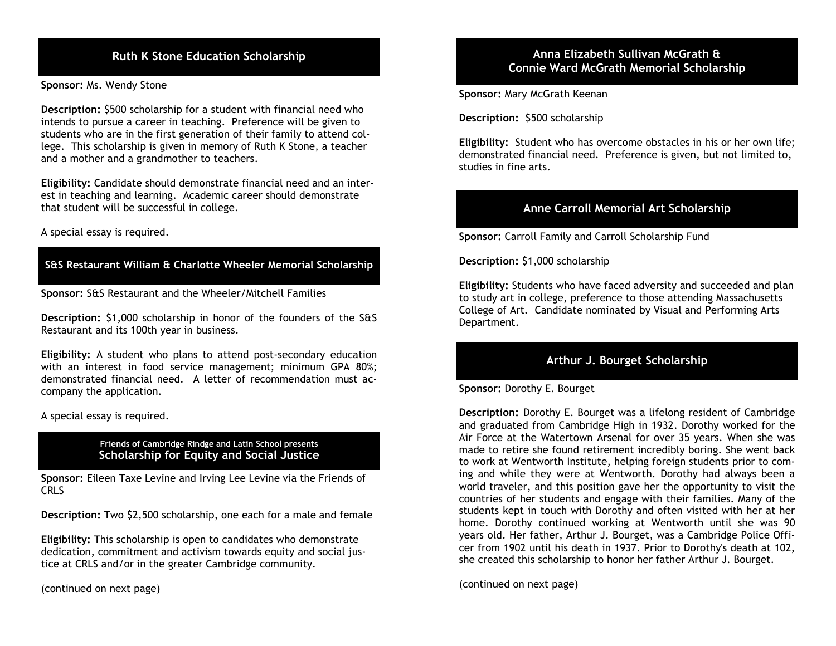Sponsor: Ms. Wendy Stone

 intends to pursue a career in teaching. Preference will be given to students who are in the first generation of their family to attend col- lege. This scholarship is given in memory of Ruth K Stone, a teacher and a mother and a grandmother to teachers. Description: \$500 scholarship for a student with financial need who

 est in teaching and learning. Academic career should demonstrate Eligibility: Candidate should demonstrate financial need and an interthat student will be successful in college.

A special essay is required.

# S&S Restaurant William & Charlotte Wheeler Memorial Scholarship

Sponsor: S&S Restaurant and the Wheeler/Mitchell Families

 Description: \$1,000 scholarship in honor of the founders of the S&S Restaurant and its 100th year in business.

 Eligibility: A student who plans to attend post-secondary education with an interest in food service management; minimum GPA 80%; demonstrated financial need. A letter of recommendation must ac-company the application.

A special essay is required.

#### Friends of Cambridge Rindge and Latin School presents Scholarship for Equity and Social Justice

 CRLS Sponsor: Eileen Taxe Levine and Irving Lee Levine via the Friends of

Description: Two \$2,500 scholarship, one each for a male and female

 tice at CRLS and/or in the greater Cambridge community. Eligibility: This scholarship is open to candidates who demonstrate dedication, commitment and activism towards equity and social jus-

(continued on next page)

#### Ruth K Stone Education Scholarship Anna Elizabeth Sullivan McGrath & Anna Elizabeth Sullivan McGrath & Connie Ward McGrath Memorial Scholarship

Sponsor: Mary McGrath Keenan

Description: \$500 scholarship

Eligibility: Student who has overcome obstacles in his or her own life; demonstrated financial need. Preference is given, but not limited to, studies in fine arts.

# Anne Carroll Memorial Art Scholarship

Sponsor: Carroll Family and Carroll Scholarship Fund

Description: \$1,000 scholarship

 to study art in college, preference to those attending Massachusetts Department. Eligibility: Students who have faced adversity and succeeded and plan College of Art. Candidate nominated by Visual and Performing Arts

# Arthur J. Bourget Scholarship

Sponsor: Dorothy E. Bourget

 Description: Dorothy E. Bourget was a lifelong resident of Cambridge and graduated from Cambridge High in 1932. Dorothy worked for the Air Force at the Watertown Arsenal for over 35 years. When she was made to retire she found retirement incredibly boring. She went back to work at Wentworth Institute, helping foreign students prior to com- ing and while they were at Wentworth. Dorothy had always been a world traveler, and this position gave her the opportunity to visit the countries of her students and engage with their families. Many of the students kept in touch with Dorothy and often visited with her at her home. Dorothy continued working at Wentworth until she was 90 years old. Her father, Arthur J. Bourget, was a Cambridge Police Offi- cer from 1902 until his death in 1937. Prior to Dorothy's death at 102, she created this scholarship to honor her father Arthur J. Bourget.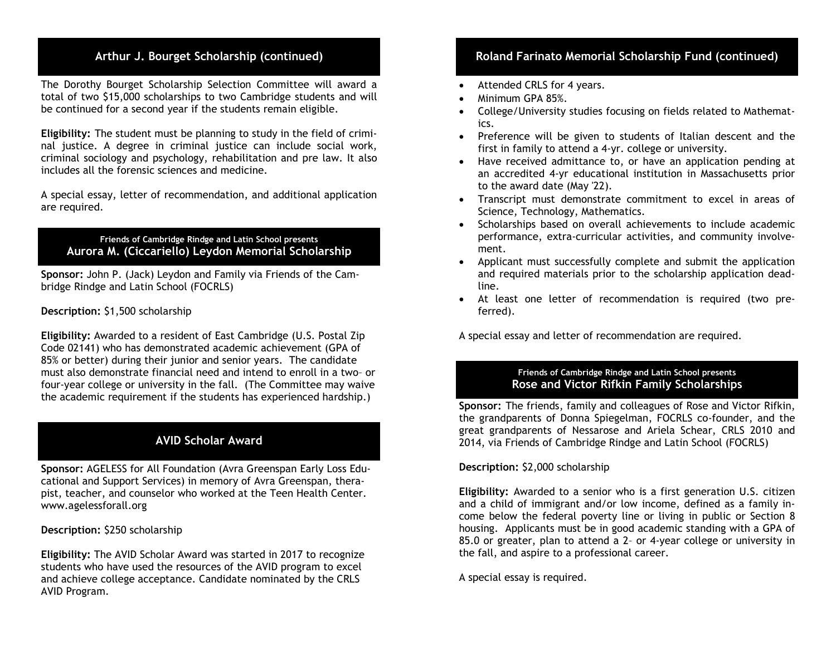The Dorothy Bourget Scholarship Selection Committee will award a total of two \$15,000 scholarships to two Cambridge students and will be continued for a second year if the students remain eligible.

 nal justice. A degree in criminal justice can include social work, includes all the forensic sciences and medicine. Eligibility: The student must be planning to study in the field of crimicriminal sociology and psychology, rehabilitation and pre law. It also

 A special essay, letter of recommendation, and additional application are required.

#### Friends of Cambridge Rindge and Latin School presents Aurora M. (Ciccariello) Leydon Memorial Scholarship

 bridge Rindge and Latin School (FOCRLS) Sponsor: John P. (Jack) Leydon and Family via Friends of the Cam-

#### Description: \$1,500 scholarship

 Eligibility: Awarded to a resident of East Cambridge (U.S. Postal Zip 85% or better) during their junior and senior years. The candidate Code 02141) who has demonstrated academic achievement (GPA of must also demonstrate financial need and intend to enroll in a two– or four-year college or university in the fall. (The Committee may waive the academic requirement if the students has experienced hardship.)

# AVID Scholar Award

 pist, teacher, and counselor who worked at the Teen Health Center. Sponsor: AGELESS for All Foundation (Avra Greenspan Early Loss Educational and Support Services) in memory of Avra Greenspan, thera<www.agelessforall.org>

#### Description: \$250 scholarship

Eligibility: The AVID Scholar Award was started in 2017 to recognize students who have used the resources of the AVID program to excel and achieve college acceptance. Candidate nominated by the CRLS AVID Program.

# Arthur J. Bourget Scholarship (continued) **Roland Farinato Memorial Scholarship Fund (continued)**

- Attended CRLS for 4 years.
- Minimum GPA 85%.
- College/University studies focusing on fields related to Mathemat-ics.
- Preference will be given to students of Italian descent and the first in family to attend a 4-yr. college or university.
- Have received admittance to, or have an application pending at an accredited 4-yr educational institution in Massachusetts prior to the award date (May '22).
- Transcript must demonstrate commitment to excel in areas of Science, Technology, Mathematics.
- Scholarships based on overall achievements to include academic performance, extra-curricular activities, and community involve-ment.
- Applicant must successfully complete and submit the application and required materials prior to the scholarship application dead-line.
- At least one letter of recommendation is required (two pre-ferred).

A special essay and letter of recommendation are required.

#### Friends of Cambridge Rindge and Latin School presents Rose and Victor Rifkin Family Scholarships

 Sponsor: The friends, family and colleagues of Rose and Victor Rifkin, the grandparents of Donna Spiegelman, FOCRLS co-founder, and the great grandparents of Nessarose and Ariela Schear, CRLS 2010 and 2014, via Friends of Cambridge Rindge and Latin School (FOCRLS)

# Description: \$2,000 scholarship

 Eligibility: Awarded to a senior who is a first generation U.S. citizen and a child of immigrant and/or low income, defined as a family in- come below the federal poverty line or living in public or Section 8 housing. Applicants must be in good academic standing with a GPA of 85.0 or greater, plan to attend a 2– or 4-year college or university in the fall, and aspire to a professional career.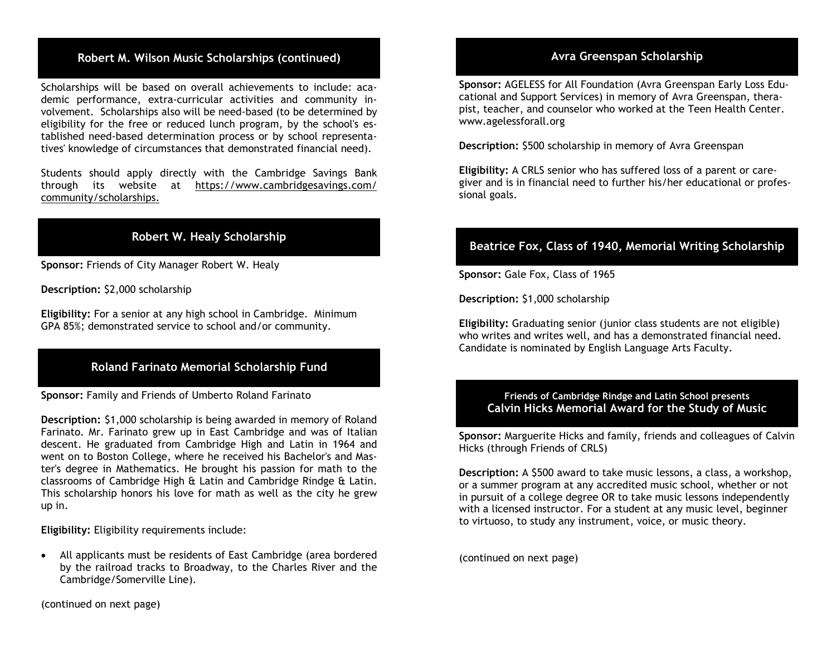# Robert M. Wilson Music Scholarships (continued)

 Scholarships will be based on overall achievements to include: aca- demic performance, extra-curricular activities and community in- eligibility for the free or reduced lunch program, by the school's es- tablished need-based determination process or by school representa- tives' knowledge of circumstances that demonstrated financial need). volvement. Scholarships also will be need-based (to be determined by

 Students should apply directly with the Cambridge Savings Bank community/scholarships. through its website at <https://www.cambridgesavings.com>/

# Robert W. Healy Scholarship

Sponsor: Friends of City Manager Robert W. Healy

Description: \$2,000 scholarship

Eligibility: For a senior at any high school in Cambridge. Minimum GPA 85%; demonstrated service to school and/or community.

# Roland Farinato Memorial Scholarship Fund

Sponsor: Family and Friends of Umberto Roland Farinato

 Description: \$1,000 scholarship is being awarded in memory of Roland Farinato. Mr. Farinato grew up in East Cambridge and was of Italian descent. He graduated from Cambridge High and Latin in 1964 and went on to Boston College, where he received his Bachelor's and Mas- ter's degree in Mathematics. He brought his passion for math to the classrooms of Cambridge High & Latin and Cambridge Rindge & Latin. This scholarship honors his love for math as well as the city he grew up in.

Eligibility: Eligibility requirements include:

 All applicants must be residents of East Cambridge (area bordered by the railroad tracks to Broadway, to the Charles River and the Cambridge/Somerville Line).

### Avra Greenspan Scholarship

 pist, teacher, and counselor who worked at the Teen Health Center. Sponsor: AGELESS for All Foundation (Avra Greenspan Early Loss Educational and Support Services) in memory of Avra Greenspan, thera<www.agelessforall.org>

Description: \$500 scholarship in memory of Avra Greenspan

 giver and is in financial need to further his/her educational or profes-Eligibility: A CRLS senior who has suffered loss of a parent or caresional goals.

# Beatrice Fox, Class of 1940, Memorial Writing Scholarship

Sponsor: Gale Fox, Class of 1965

Description: \$1,000 scholarship

Eligibility: Graduating senior (junior class students are not eligible) who writes and writes well, and has a demonstrated financial need. Candidate is nominated by English Language Arts Faculty.

#### Friends of Cambridge Rindge and Latin School presents Calvin Hicks Memorial Award for the Study of Music

 Hicks (through Friends of CRLS) Sponsor: Marguerite Hicks and family, friends and colleagues of Calvin

 or a summer program at any accredited music school, whether or not to virtuoso, to study any instrument, voice, or music theory. Description: A \$500 award to take music lessons, a class, a workshop, in pursuit of a college degree OR to take music lessons independently with a licensed instructor. For a student at any music level, beginner

(continued on next page)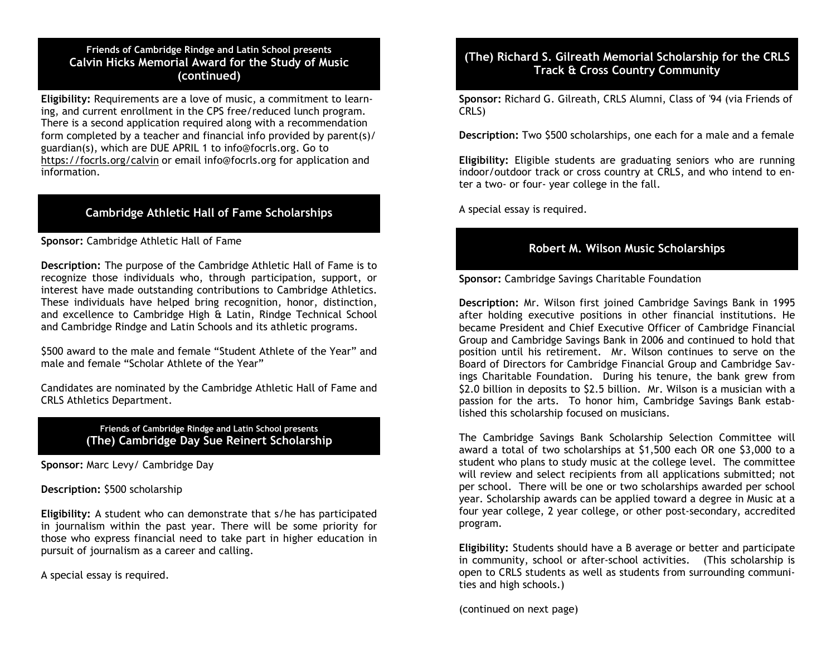#### Friends of Cambridge Rindge and Latin School presents Calvin Hicks Memorial Award for the Study of Music (continued)

 guardian(s), which are DUE APRIL 1 to [info@focrls.org](mailto:info@focrls.org). Go to information. Eligibility: Requirements are a love of music, a commitment to learning, and current enrollment in the CPS free/reduced lunch program. There is a second application required along with a recommendation form completed by a teacher and financial info provided by parent(s)/ <https://focrls.org/calvin> or email [info@focrls.org](mailto:info@focrls.org) for application and

# Cambridge Athletic Hall of Fame Scholarships

#### Sponsor: Cambridge Athletic Hall of Fame

 Description: The purpose of the Cambridge Athletic Hall of Fame is to recognize those individuals who, through participation, support, or interest have made outstanding contributions to Cambridge Athletics. These individuals have helped bring recognition, honor, distinction, and excellence to Cambridge High & Latin, Rindge Technical School and Cambridge Rindge and Latin Schools and its athletic programs.

 \$500 award to the male and female "Student Athlete of the Year" and male and female "Scholar Athlete of the Year"

Candidates are nominated by the Cambridge Athletic Hall of Fame and CRLS Athletics Department.

#### Friends of Cambridge Rindge and Latin School presents (The) Cambridge Day Sue Reinert Scholarship

Sponsor: Marc Levy/ Cambridge Day

Description: \$500 scholarship

 Eligibility: A student who can demonstrate that s/he has participated in journalism within the past year. There will be some priority for those who express financial need to take part in higher education in pursuit of journalism as a career and calling.

A special essay is required.

# (The) Richard S. Gilreath Memorial Scholarship for the CRLS Track & Cross Country Community

 CRLS) Sponsor: Richard G. Gilreath, CRLS Alumni, Class of '94 (via Friends of

Description: Two \$500 scholarships, one each for a male and a female

 Eligibility: Eligible students are graduating seniors who are running indoor/outdoor track or cross country at CRLS, and who intend to en-ter a two- or four- year college in the fall.

A special essay is required.

# Robert M. Wilson Music Scholarships

Sponsor: Cambridge Savings Charitable Foundation

 Description: Mr. Wilson first joined Cambridge Savings Bank in 1995 after holding executive positions in other financial institutions. He became President and Chief Executive Officer of Cambridge Financial Group and Cambridge Savings Bank in 2006 and continued to hold that position until his retirement. Mr. Wilson continues to serve on the Board of Directors for Cambridge Financial Group and Cambridge Sav- ings Charitable Foundation. During his tenure, the bank grew from \$2.0 billion in deposits to \$2.5 billion. Mr. Wilson is a musician with a passion for the arts. To honor him, Cambridge Savings Bank estab-lished this scholarship focused on musicians.

 The Cambridge Savings Bank Scholarship Selection Committee will award a total of two scholarships at \$1,500 each OR one \$3,000 to a student who plans to study music at the college level. The committee will review and select recipients from all applications submitted; not per school. There will be one or two scholarships awarded per school year. Scholarship awards can be applied toward a degree in Music at a four year college, 2 year college, or other post-secondary, accredited program.

 Eligibility: Students should have a B average or better and participate in community, school or after-school activities. (This scholarship is open to CRLS students as well as students from surrounding communi-ties and high schools.)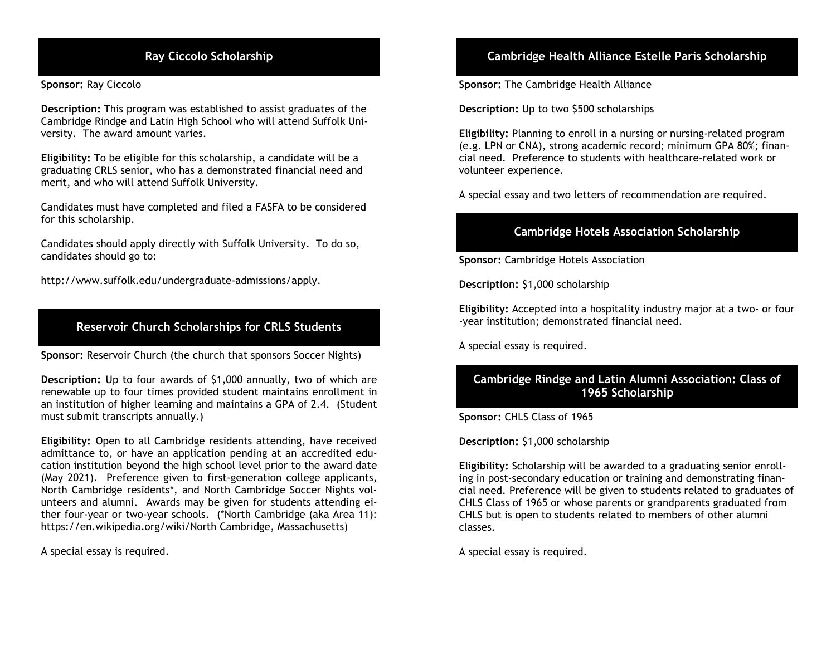Sponsor: Ray Ciccolo

 Description: This program was established to assist graduates of the versity. The award amount varies. Cambridge Rindge and Latin High School who will attend Suffolk Uni-

 Eligibility: To be eligible for this scholarship, a candidate will be a graduating CRLS senior, who has a demonstrated financial need and merit, and who will attend Suffolk University.

 for this scholarship. Candidates must have completed and filed a FASFA to be considered

 Candidates should apply directly with Suffolk University. To do so, candidates should go to:

<http://www.suffolk.edu/undergraduate-admissions/apply>.

# Reservoir Church Scholarships for CRLS Students

Sponsor: Reservoir Church (the church that sponsors Soccer Nights)

 Description: Up to four awards of \$1,000 annually, two of which are renewable up to four times provided student maintains enrollment in an institution of higher learning and maintains a GPA of 2.4. (Student must submit transcripts annually.)

 Eligibility: Open to all Cambridge residents attending, have received admittance to, or have an application pending at an accredited edu- cation institution beyond the high school level prior to the award date (May 2021). Preference given to first-generation college applicants, North Cambridge residents\*, and North Cambridge Soccer Nights vol- unteers and alumni. Awards may be given for students attending ei- ther four-year or two-year schools. (\*North Cambridge (aka Area 11): <https://en.wikipedia.org/wiki/North> Cambridge, Massachusetts)

A special essay is required.

# Ray Ciccolo Scholarship Cambridge Health Alliance Estelle Paris Scholarship

Sponsor: The Cambridge Health Alliance

Description: Up to two \$500 scholarships

 Eligibility: Planning to enroll in a nursing or nursing-related program cial need. Preference to students with healthcare-related work or (e.g. LPN or CNA), strong academic record; minimum GPA 80%; finanvolunteer experience.

A special essay and two letters of recommendation are required.

# Cambridge Hotels Association Scholarship

Sponsor: Cambridge Hotels Association

Description: \$1,000 scholarship

Eligibility: Accepted into a hospitality industry major at a two- or four -year institution; demonstrated financial need.

A special essay is required.

# Cambridge Rindge and Latin Alumni Association: Class of 1965 Scholarship

Sponsor: CHLS Class of 1965

Description: \$1,000 scholarship

 cial need. Preference will be given to students related to graduates of classes. Eligibility: Scholarship will be awarded to a graduating senior enrolling in post-secondary education or training and demonstrating finan-CHLS Class of 1965 or whose parents or grandparents graduated from CHLS but is open to students related to members of other alumni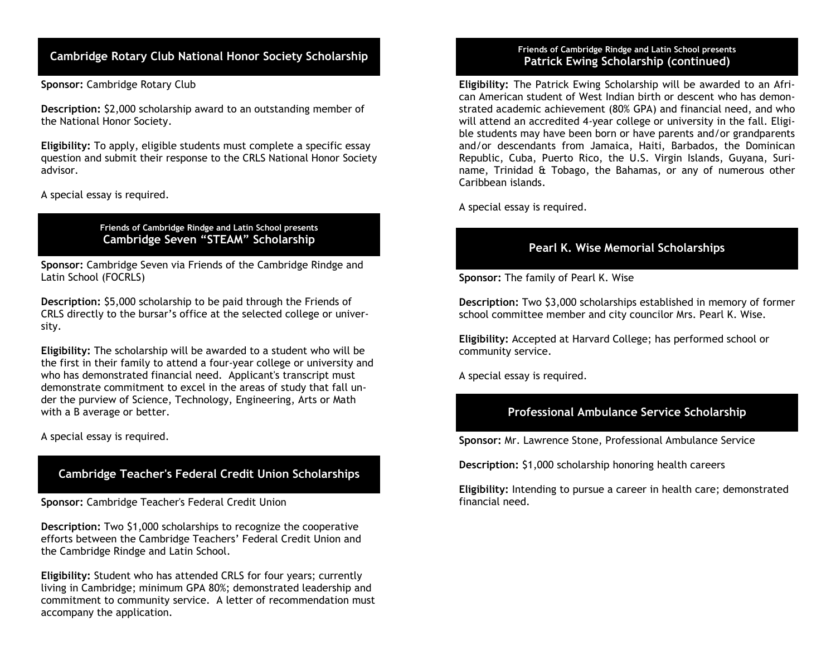# Cambridge Rotary Club National Honor Society Scholarship

Sponsor: Cambridge Rotary Club

 the National Honor Society. Description: \$2,000 scholarship award to an outstanding member of

 question and submit their response to the CRLS National Honor Society advisor. Eligibility: To apply, eligible students must complete a specific essay

A special essay is required.

 Friends of Cambridge Rindge and Latin School presents Cambridge Seven "STEAM" Scholarship

Sponsor: Cambridge Seven via Friends of the Cambridge Rindge and Latin School (FOCRLS)

Description: \$5,000 scholarship to be paid through the Friends of CRLS directly to the bursar's office at the selected college or university.

 Eligibility: The scholarship will be awarded to a student who will be demonstrate commitment to excel in the areas of study that fall unthe first in their family to attend a four-year college or university and who has demonstrated financial need. Applicant's transcript must der the purview of Science, Technology, Engineering, Arts or Math with a B average or better.

A special essay is required.

# Cambridge Teacher's Federal Credit Union Scholarships

Sponsor: Cambridge Teacher's Federal Credit Union

Description: Two \$1,000 scholarships to recognize the cooperative efforts between the Cambridge Teachers' Federal Credit Union and the Cambridge Rindge and Latin School.

 Eligibility: Student who has attended CRLS for four years; currently accompany the application. living in Cambridge; minimum GPA 80%; demonstrated leadership and commitment to community service. A letter of recommendation must

#### Friends of Cambridge Rindge and Latin School presents Patrick Ewing Scholarship (continued)

 Eligibility: The Patrick Ewing Scholarship will be awarded to an Afri- can American student of West Indian birth or descent who has demon- strated academic achievement (80% GPA) and financial need, and who will attend an accredited 4-year college or university in the fall. Eligi- ble students may have been born or have parents and/or grandparents and/or descendants from Jamaica, Haiti, Barbados, the Dominican Republic, Cuba, Puerto Rico, the U.S. Virgin Islands, Guyana, Suri- name, Trinidad & Tobago, the Bahamas, or any of numerous other Caribbean islands.

A special essay is required.

# Pearl K. Wise Memorial Scholarships

Sponsor: The family of Pearl K. Wise

 Description: Two \$3,000 scholarships established in memory of former school committee member and city councilor Mrs. Pearl K. Wise.

 Eligibility: Accepted at Harvard College; has performed school or community service.

A special essay is required.

# Professional Ambulance Service Scholarship

Sponsor: Mr. Lawrence Stone, Professional Ambulance Service

Description: \$1,000 scholarship honoring health careers

Eligibility: Intending to pursue a career in health care; demonstrated financial need.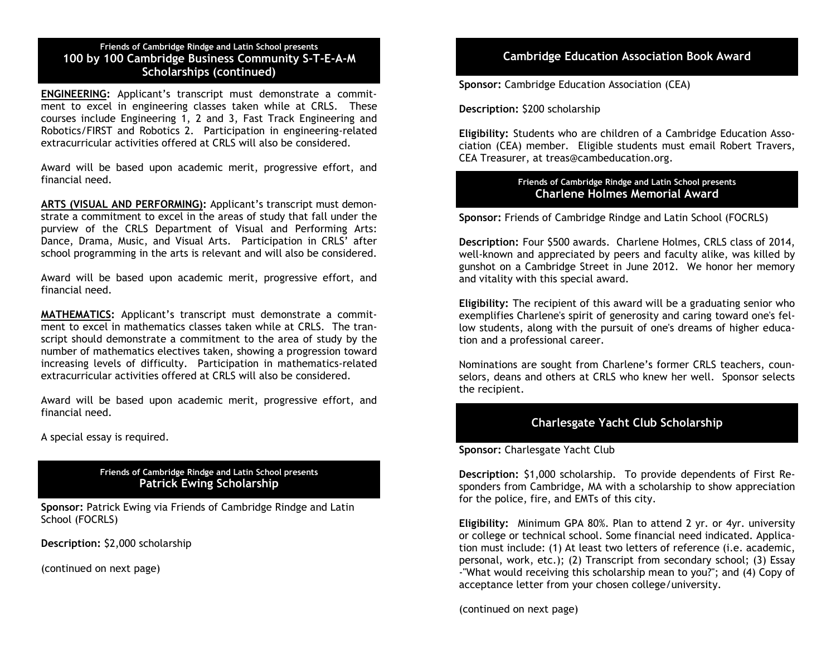#### Friends of Cambridge Rindge and Latin School presents 100 by 100 Cambridge Business Community S-T-E-A-M Scholarships (continued)

 ment to excel in engineering classes taken while at CRLS. These courses include Engineering 1, 2 and 3, Fast Track Engineering and Robotics/FIRST and Robotics 2. Participation in engineering-related ENGINEERING: Applicant's transcript must demonstrate a commitextracurricular activities offered at CRLS will also be considered.

 Award will be based upon academic merit, progressive effort, and financial need.

ARTS (VISUAL AND PERFORMING): Applicant's transcript must demon- strate a commitment to excel in the areas of study that fall under the purview of the CRLS Department of Visual and Performing Arts: Dance, Drama, Music, and Visual Arts. Participation in CRLS' after school programming in the arts is relevant and will also be considered.

 Award will be based upon academic merit, progressive effort, and financial need.

 ment to excel in mathematics classes taken while at CRLS. The tran- script should demonstrate a commitment to the area of study by the number of mathematics electives taken, showing a progression toward increasing levels of difficulty. Participation in mathematics-related MATHEMATICS: Applicant's transcript must demonstrate a commitextracurricular activities offered at CRLS will also be considered.

 Award will be based upon academic merit, progressive effort, and financial need.

A special essay is required.

#### Friends of Cambridge Rindge and Latin School presents Patrick Ewing Scholarship

Sponsor: Patrick Ewing via Friends of Cambridge Rindge and Latin School (FOCRLS)

Description: \$2,000 scholarship

(continued on next page)

# Cambridge Education Association Book Award

Sponsor: Cambridge Education Association (CEA)

Description: \$200 scholarship

 Eligibility: Students who are children of a Cambridge Education Asso- ciation (CEA) member. Eligible students must email Robert Travers, CEA Treasurer, at [treas@cambeducation.org.](mailto:treas@cambeducation.org)

#### Friends of Cambridge Rindge and Latin School presents Charlene Holmes Memorial Award

Sponsor: Friends of Cambridge Rindge and Latin School (FOCRLS)

 Description: Four \$500 awards. Charlene Holmes, CRLS class of 2014, well-known and appreciated by peers and faculty alike, was killed by gunshot on a Cambridge Street in June 2012. We honor her memory and vitality with this special award.

 Eligibility: The recipient of this award will be a graduating senior who exemplifies Charlene's spirit of generosity and caring toward one's fel- low students, along with the pursuit of one's dreams of higher educa-tion and a professional career.

 Nominations are sought from Charlene's former CRLS teachers, coun- selors, deans and others at CRLS who knew her well. Sponsor selects the recipient.

# Charlesgate Yacht Club Scholarship

Sponsor: Charlesgate Yacht Club

 Description: \$1,000 scholarship. To provide dependents of First Re- sponders from Cambridge, MA with a scholarship to show appreciation for the police, fire, and EMTs of this city.

 Eligibility: Minimum GPA 80%. Plan to attend 2 yr. or 4yr. university personal, work, etc.); (2) Transcript from secondary school; (3) Essay -"What would receiving this scholarship mean to you?"; and (4) Copy of acceptance letter from your chosen college/university. or college or technical school. Some financial need indicated. Application must include: (1) At least two letters of reference (i.e. academic,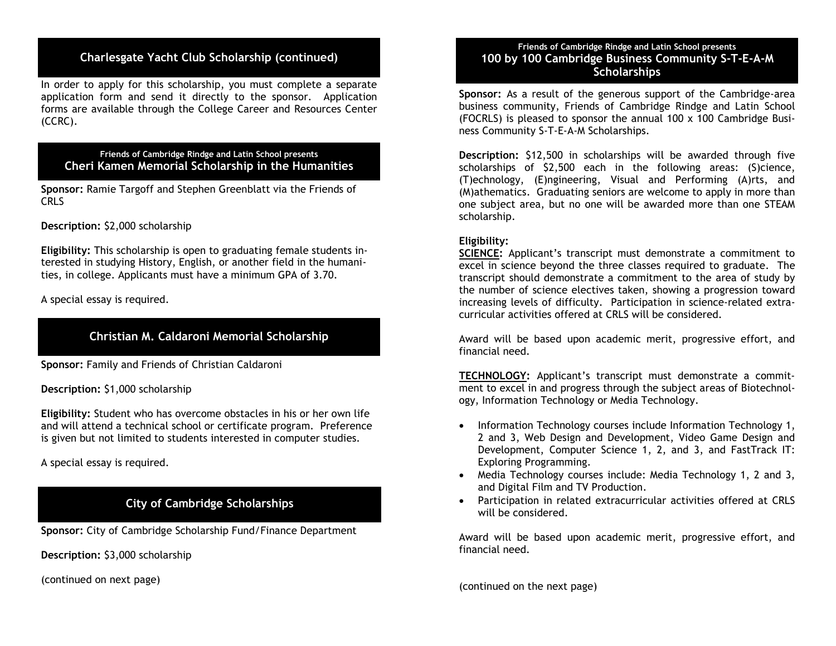# Charlesgate Yacht Club Scholarship (continued)

 In order to apply for this scholarship, you must complete a separate application form and send it directly to the sponsor. Application forms are available through the College Career and Resources Center (CCRC).

#### Friends of Cambridge Rindge and Latin School presents Cheri Kamen Memorial Scholarship in the Humanities

 CRLS Sponsor: Ramie Targoff and Stephen Greenblatt via the Friends of

Description: \$2,000 scholarship

 ties, in college. Applicants must have a minimum GPA of 3.70. Eligibility: This scholarship is open to graduating female students interested in studying History, English, or another field in the humani-

A special essay is required.

# Christian M. Caldaroni Memorial Scholarship

Sponsor: Family and Friends of Christian Caldaroni

Description: \$1,000 scholarship

 Eligibility: Student who has overcome obstacles in his or her own life and will attend a technical school or certificate program. Preference is given but not limited to students interested in computer studies.

A special essay is required.

# City of Cambridge Scholarships

Sponsor: City of Cambridge Scholarship Fund/Finance Department

Description: \$3,000 scholarship

(continued on next page)

#### Friends of Cambridge Rindge and Latin School presents 100 by 100 Cambridge Business Community S-T-E-A-M **Scholarships**

Sponsor: As a result of the generous support of the Cambridge-area business community, Friends of Cambridge Rindge and Latin School (FOCRLS) is pleased to sponsor the annual 100 x 100 Cambridge Busi-ness Community S-T-E-A-M Scholarships.

 Description: \$12,500 in scholarships will be awarded through five scholarships of \$2,500 each in the following areas: (S)cience, (T)echnology, (E)ngineering, Visual and Performing (A)rts, and (M)athematics. Graduating seniors are welcome to apply in more than one subject area, but no one will be awarded more than one STEAM scholarship.

#### Eligibility:

SCIENCE: Applicant's transcript must demonstrate a commitment to excel in science beyond the three classes required to graduate. The transcript should demonstrate a commitment to the area of study by the number of science electives taken, showing a progression toward increasing levels of difficulty. Participation in science-related extra-curricular activities offered at CRLS will be considered.

 Award will be based upon academic merit, progressive effort, and financial need.

TECHNOLOGY: Applicant's transcript must demonstrate a commitment to excel in and progress through the subject areas of Biotechnology, Information Technology or Media Technology.

- Information Technology courses include Information Technology 1, 2 and 3, Web Design and Development, Video Game Design and Development, Computer Science 1, 2, and 3, and FastTrack IT: Exploring Programming.
- Media Technology courses include: Media Technology 1, 2 and 3, and Digital Film and TV Production.
- Participation in related extracurricular activities offered at CRLS will be considered.

 Award will be based upon academic merit, progressive effort, and financial need.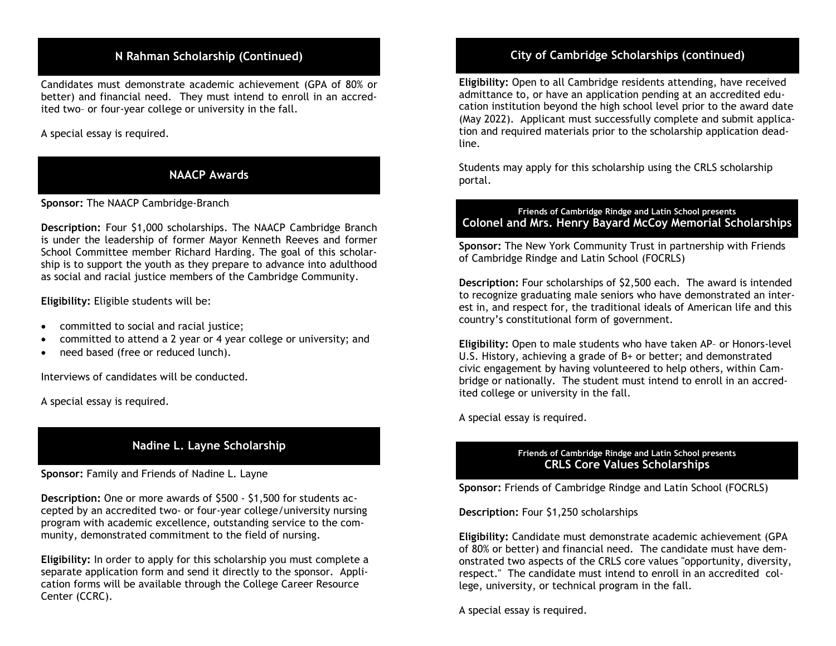# N Rahman Scholarship (Continued)

 Candidates must demonstrate academic achievement (GPA of 80% or better) and financial need. They must intend to enroll in an accred-ited two– or four-year college or university in the fall.

### A special essay is required.

# NAACP Awards

Sponsor: The NAACP Cambridge-Branch

 Description: Four \$1,000 scholarships. The NAACP Cambridge Branch is under the leadership of former Mayor Kenneth Reeves and former School Committee member Richard Harding. The goal of this scholar- ship is to support the youth as they prepare to advance into adulthood as social and racial justice members of the Cambridge Community.

Eligibility: Eligible students will be:

- committed to social and racial justice;
- committed to attend a 2 year or 4 year college or university; and
- need based (free or reduced lunch).

Interviews of candidates will be conducted.

A special essay is required.

# Nadine L. Layne Scholarship

Sponsor: Family and Friends of Nadine L. Layne

 Description: One or more awards of \$500 - \$1,500 for students ac- munity, demonstrated commitment to the field of nursing. cepted by an accredited two- or four-year college/university nursing program with academic excellence, outstanding service to the com-

 Eligibility: In order to apply for this scholarship you must complete a separate application form and send it directly to the sponsor. Application forms will be available through the College Career Resource Center (CCRC).

# City of Cambridge Scholarships (continued)

 admittance to, or have an application pending at an accredited edu- line. Eligibility: Open to all Cambridge residents attending, have received cation institution beyond the high school level prior to the award date (May 2022). Applicant must successfully complete and submit application and required materials prior to the scholarship application dead-

Students may apply for this scholarship using the CRLS scholarship portal.

#### Friends of Cambridge Rindge and Latin School presents Colonel and Mrs. Henry Bayard McCoy Memorial Scholarships

Sponsor: The New York Community Trust in partnership with Friends of Cambridge Rindge and Latin School (FOCRLS)

 Description: Four scholarships of \$2,500 each. The award is intended to recognize graduating male seniors who have demonstrated an inter- country's constitutional form of government. est in, and respect for, the traditional ideals of American life and this

 civic engagement by having volunteered to help others, within Cam- ited college or university in the fall. Eligibility: Open to male students who have taken AP– or Honors-level U.S. History, achieving a grade of B+ or better; and demonstrated bridge or nationally. The student must intend to enroll in an accred-

A special essay is required.

#### Friends of Cambridge Rindge and Latin School presents CRLS Core Values Scholarships

Sponsor: Friends of Cambridge Rindge and Latin School (FOCRLS)

Description: Four \$1,250 scholarships

 Eligibility: Candidate must demonstrate academic achievement (GPA of 80% or better) and financial need. The candidate must have demonstrated two aspects of the CRLS core values "opportunity, diversity, respect." The candidate must intend to enroll in an accredited college, university, or technical program in the fall.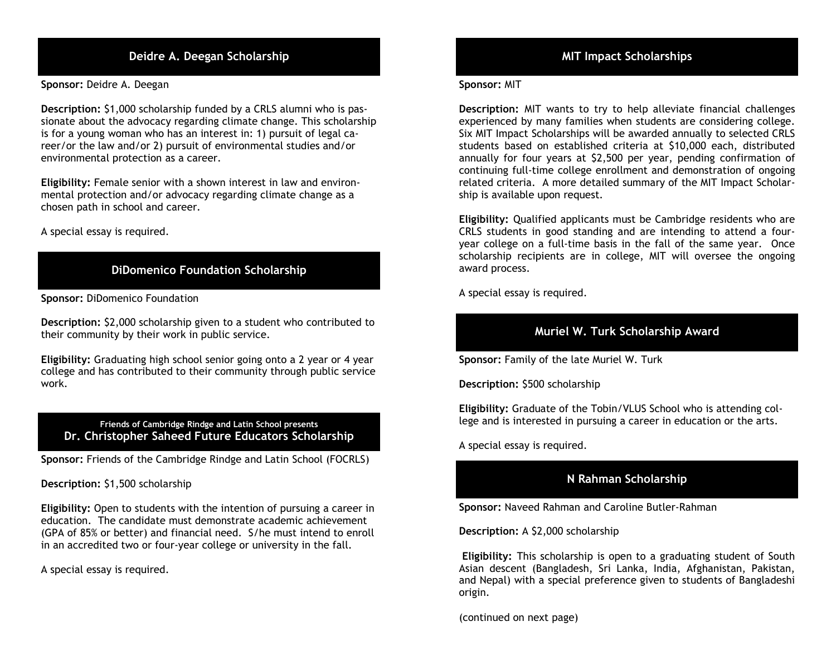# Deidre A. Deegan Scholarship MIT Impact Scholarships

Sponsor: Deidre A. Deegan

Description: \$1,000 scholarship funded by a CRLS alumni who is passionate about the advocacy regarding climate change. This scholarship is for a young woman who has an interest in: 1) pursuit of legal career/or the law and/or 2) pursuit of environmental studies and/or environmental protection as a career.

 Eligibility: Female senior with a shown interest in law and environ- mental protection and/or advocacy regarding climate change as a chosen path in school and career.

A special essay is required.

# DiDomenico Foundation Scholarship

Sponsor: DiDomenico Foundation

 Description: \$2,000 scholarship given to a student who contributed to their community by their work in public service.

 Eligibility: Graduating high school senior going onto a 2 year or 4 year work. college and has contributed to their community through public service

#### Friends of Cambridge Rindge and Latin School presents Dr. Christopher Saheed Future Educators Scholarship

Sponsor: Friends of the Cambridge Rindge and Latin School (FOCRLS)

Description: \$1,500 scholarship

 education. The candidate must demonstrate academic achievement Eligibility: Open to students with the intention of pursuing a career in (GPA of 85% or better) and financial need. S/he must intend to enroll in an accredited two or four-year college or university in the fall.

A special essay is required.

#### Sponsor: MIT

 Description: MIT wants to try to help alleviate financial challenges experienced by many families when students are considering college. Six MIT Impact Scholarships will be awarded annually to selected CRLS students based on established criteria at \$10,000 each, distributed annually for four years at \$2,500 per year, pending confirmation of continuing full-time college enrollment and demonstration of ongoing related criteria. A more detailed summary of the MIT Impact Scholarship is available upon request.

 Eligibility: Qualified applicants must be Cambridge residents who are CRLS students in good standing and are intending to attend a four- year college on a full-time basis in the fall of the same year. Once scholarship recipients are in college, MIT will oversee the ongoing award process.

A special essay is required.

# Muriel W. Turk Scholarship Award

Sponsor: Family of the late Muriel W. Turk

Description: \$500 scholarship

 Eligibility: Graduate of the Tobin/VLUS School who is attending college and is interested in pursuing a career in education or the arts.

A special essay is required.

# N Rahman Scholarship

Sponsor: Naveed Rahman and Caroline Butler-Rahman

Description: A \$2,000 scholarship

 Eligibility: This scholarship is open to a graduating student of South Asian descent (Bangladesh, Sri Lanka, India, Afghanistan, Pakistan, and Nepal) with a special preference given to students of Bangladeshi origin.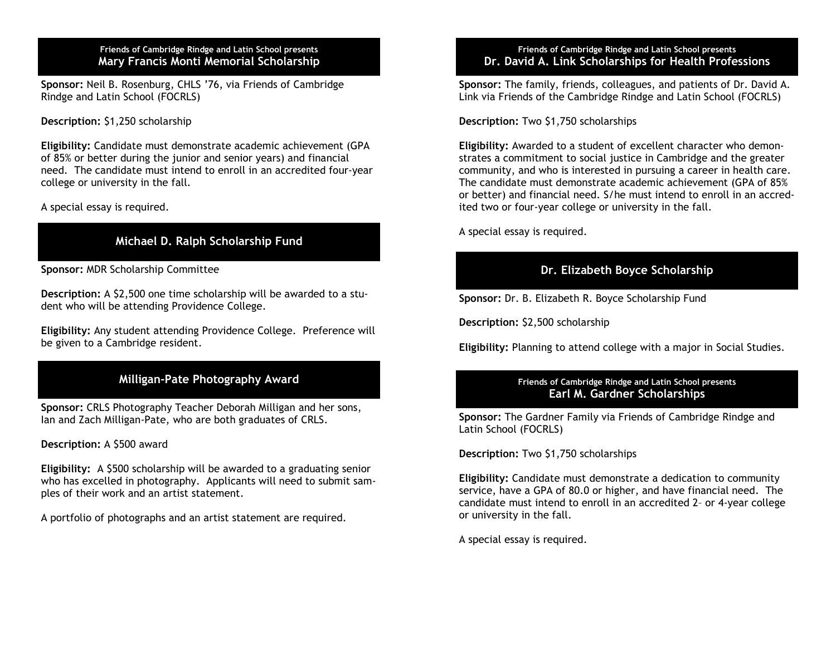Friends of Cambridge Rindge and Latin School presents Mary Francis Monti Memorial Scholarship

Sponsor: Neil B. Rosenburg, CHLS '76, via Friends of Cambridge Rindge and Latin School (FOCRLS)

Description: \$1,250 scholarship

 Eligibility: Candidate must demonstrate academic achievement (GPA need. The candidate must intend to enroll in an accredited four-year college or university in the fall. of 85% or better during the junior and senior years) and financial

A special essay is required.

# Michael D. Ralph Scholarship Fund

Sponsor: MDR Scholarship Committee

Description: A \$2,500 one time scholarship will be awarded to a student who will be attending Providence College.

 be given to a Cambridge resident. Eligibility: Any student attending Providence College. Preference will

# Milligan-Pate Photography Award

 Ian and Zach Milligan-Pate, who are both graduates of CRLS. Sponsor: CRLS Photography Teacher Deborah Milligan and her sons,

Description: A \$500 award

 who has excelled in photography. Applicants will need to submit sam-Eligibility: A \$500 scholarship will be awarded to a graduating senior ples of their work and an artist statement.

A portfolio of photographs and an artist statement are required.

#### Friends of Cambridge Rindge and Latin School presents Dr. David A. Link Scholarships for Health Professions

 Link via Friends of the Cambridge Rindge and Latin School (FOCRLS) Sponsor: The family, friends, colleagues, and patients of Dr. David A.

Description: Two \$1,750 scholarships

 community, and who is interested in pursuing a career in health care. Eligibility: Awarded to a student of excellent character who demonstrates a commitment to social justice in Cambridge and the greater The candidate must demonstrate academic achievement (GPA of 85% or better) and financial need. S/he must intend to enroll in an accredited two or four-year college or university in the fall.

A special essay is required.

# Dr. Elizabeth Boyce Scholarship

Sponsor: Dr. B. Elizabeth R. Boyce Scholarship Fund

Description: \$2,500 scholarship

Eligibility: Planning to attend college with a major in Social Studies.

#### Friends of Cambridge Rindge and Latin School presents Earl M. Gardner Scholarships

Sponsor: The Gardner Family via Friends of Cambridge Rindge and Latin School (FOCRLS)

Description: Two \$1,750 scholarships

 service, have a GPA of 80.0 or higher, and have financial need. The Eligibility: Candidate must demonstrate a dedication to community candidate must intend to enroll in an accredited 2– or 4-year college or university in the fall.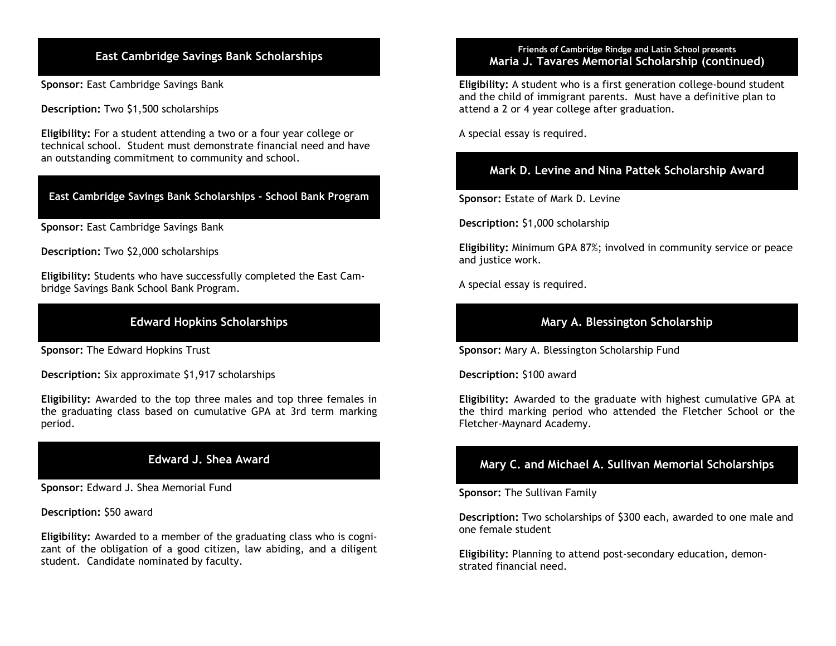Sponsor: East Cambridge Savings Bank

Description: Two \$1,500 scholarships

 an outstanding commitment to community and school. Eligibility: For a student attending a two or a four year college or technical school. Student must demonstrate financial need and have

### East Cambridge Savings Bank Scholarships School Bank Program

Sponsor: East Cambridge Savings Bank

Description: Two \$2,000 scholarships

Eligibility: Students who have successfully completed the East Cambridge Savings Bank School Bank Program.

# Edward Hopkins Scholarships

Sponsor: The Edward Hopkins Trust

Description: Six approximate \$1,917 scholarships

Eligibility: Awarded to the top three males and top three females in the graduating class based on cumulative GPA at 3rd term marking period.

# Edward J. Shea Award

Sponsor: Edward J. Shea Memorial Fund

Description: \$50 award

 Eligibility: Awarded to a member of the graduating class who is cogni- zant of the obligation of a good citizen, law abiding, and a diligent student. Candidate nominated by faculty.

#### Friends of Cambridge Rindge and Latin School presents<br>Maria I Tavares Memorial Scholarship (continu Friends of Cambridge Rindge and Latin School presents Maria J. Tavares Memorial Scholarship (continued)

Eligibility: A student who is a first generation college-bound student and the child of immigrant parents. Must have a definitive plan to attend a 2 or 4 year college after graduation.

A special essay is required.

# Mark D. Levine and Nina Pattek Scholarship Award

Sponsor: Estate of Mark D. Levine

Description: \$1,000 scholarship

 Eligibility: Minimum GPA 87%; involved in community service or peace and justice work.

A special essay is required.

# Mary A. Blessington Scholarship

Sponsor: Mary A. Blessington Scholarship Fund

Description: \$100 award

 Eligibility: Awarded to the graduate with highest cumulative GPA at the third marking period who attended the Fletcher School or the Fletcher-Maynard Academy.

# Mary C. and Michael A. Sullivan Memorial Scholarships

Sponsor: The Sullivan Family

Description: Two scholarships of \$300 each, awarded to one male and one female student

 Eligibility: Planning to attend post-secondary education, demon-strated financial need.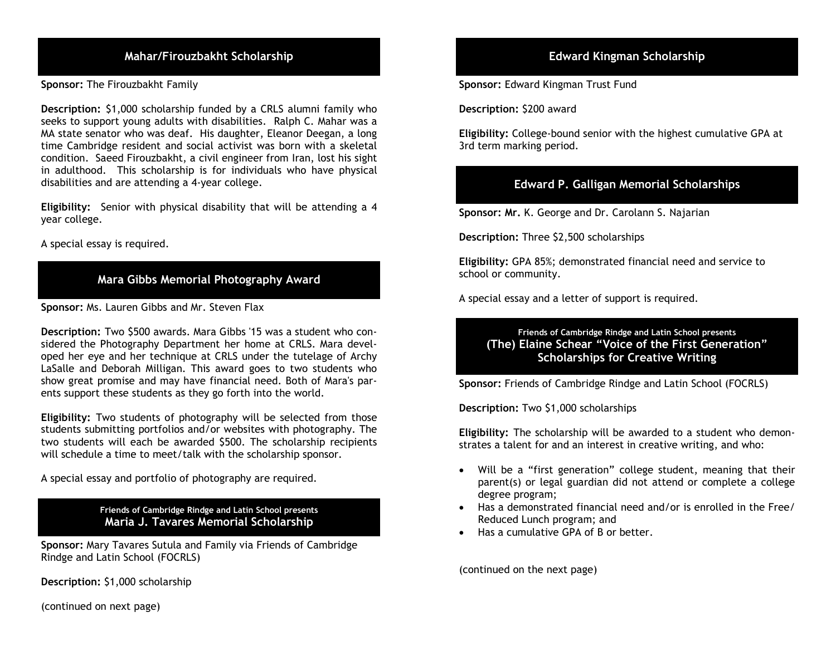# Mahar/Firouzbakht Scholarship

Sponsor: The Firouzbakht Family

 Description: \$1,000 scholarship funded by a CRLS alumni family who seeks to support young adults with disabilities. Ralph C. Mahar was a MA state senator who was deaf. His daughter, Eleanor Deegan, a long time Cambridge resident and social activist was born with a skeletal condition. Saeed Firouzbakht, a civil engineer from Iran, lost his sight in adulthood. This scholarship is for individuals who have physical disabilities and are attending a 4-year college.

 Eligibility: Senior with physical disability that will be attending a 4 year college.

A special essay is required.

# Mara Gibbs Memorial Photography Award

Sponsor: Ms. Lauren Gibbs and Mr. Steven Flax

 Description: Two \$500 awards. Mara Gibbs '15 was a student who con- sidered the Photography Department her home at CRLS. Mara devel- oped her eye and her technique at CRLS under the tutelage of Archy LaSalle and Deborah Milligan. This award goes to two students who show great promise and may have financial need. Both of Mara's par-ents support these students as they go forth into the world.

 Eligibility: Two students of photography will be selected from those students submitting portfolios and/or websites with photography. The two students will each be awarded \$500. The scholarship recipients will schedule a time to meet/talk with the scholarship sponsor.

A special essay and portfolio of photography are required.

 Friends of Cambridge Rindge and Latin School presents Maria J. Tavares Memorial Scholarship

 Sponsor: Mary Tavares Sutula and Family via Friends of Cambridge Rindge and Latin School (FOCRLS)

Description: \$1,000 scholarship

# **Edward Kingman Scholarship**

Sponsor: Edward Kingman Trust Fund

Description: \$200 award

Eligibility: College-bound senior with the highest cumulative GPA at 3rd term marking period.

# Edward P. Galligan Memorial Scholarships

Sponsor: Mr. K. George and Dr. Carolann S. Najarian

Description: Three \$2,500 scholarships

Eligibility: GPA 85%; demonstrated financial need and service to school or community.

A special essay and a letter of support is required.

#### Friends of Cambridge Rindge and Latin School presents (The) Elaine Schear "Voice of the First Generation" Scholarships for Creative Writing

Sponsor: Friends of Cambridge Rindge and Latin School (FOCRLS)

Description: Two \$1,000 scholarships

 Eligibility: The scholarship will be awarded to a student who demon-strates a talent for and an interest in creative writing, and who:

- Will be a "first generation" college student, meaning that their parent(s) or legal guardian did not attend or complete a college degree program;
- Has a demonstrated financial need and/or is enrolled in the Free/ Reduced Lunch program; and
- Has a cumulative GPA of B or better.

(continued on the next page)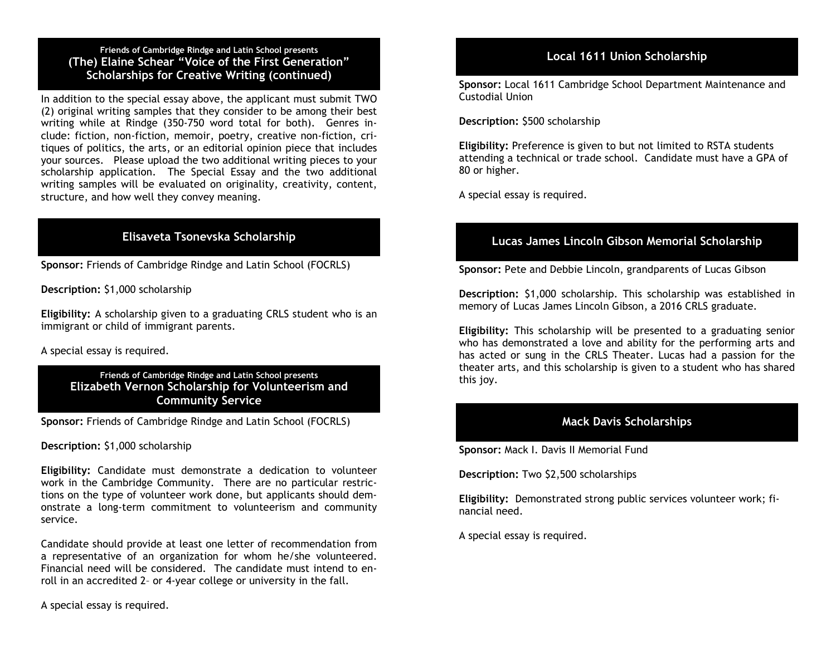Friends of Cambridge Rindge and Latin School presents (The) Elaine Schear "Voice of the First Generation" Scholarships for Creative Writing (continued)

 In addition to the special essay above, the applicant must submit TWO (2) original writing samples that they consider to be among their best writing while at Rindge (350-750 word total for both). Genres in- clude: fiction, non-fiction, memoir, poetry, creative non-fiction, cri- tiques of politics, the arts, or an editorial opinion piece that includes your sources. Please upload the two additional writing pieces to your scholarship application. The Special Essay and the two additional writing samples will be evaluated on originality, creativity, content, structure, and how well they convey meaning.

# Elisaveta Tsonevska Scholarship

Sponsor: Friends of Cambridge Rindge and Latin School (FOCRLS)

Description: \$1,000 scholarship

 Eligibility: A scholarship given to a graduating CRLS student who is an immigrant or child of immigrant parents.

A special essay is required.

 Friends of Cambridge Rindge and Latin School presents Elizabeth Vernon Scholarship for Volunteerism and Community Service

Sponsor: Friends of Cambridge Rindge and Latin School (FOCRLS)

Description: \$1,000 scholarship

 Eligibility: Candidate must demonstrate a dedication to volunteer work in the Cambridge Community. There are no particular restric- tions on the type of volunteer work done, but applicants should dem- onstrate a long-term commitment to volunteerism and community service.

 Candidate should provide at least one letter of recommendation from a representative of an organization for whom he/she volunteered. Financial need will be considered. The candidate must intend to en-roll in an accredited 2– or 4-year college or university in the fall.

A special essay is required.

# Local 1611 Union Scholarship

Sponsor: Local 1611 Cambridge School Department Maintenance and Custodial Union

Description: \$500 scholarship

 80 or higher. Eligibility: Preference is given to but not limited to RSTA students attending a technical or trade school. Candidate must have a GPA of

A special essay is required.

# Lucas James Lincoln Gibson Memorial Scholarship

Sponsor: Pete and Debbie Lincoln, grandparents of Lucas Gibson

 Description: \$1,000 scholarship. This scholarship was established in memory of Lucas James Lincoln Gibson, a 2016 CRLS graduate.

 Eligibility: This scholarship will be presented to a graduating senior who has demonstrated a love and ability for the performing arts and has acted or sung in the CRLS Theater. Lucas had a passion for the theater arts, and this scholarship is given to a student who has shared this joy.

### Mack Davis Scholarships

Sponsor: Mack I. Davis II Memorial Fund

Description: Two \$2,500 scholarships

Eligibility: Demonstrated strong public services volunteer work; financial need.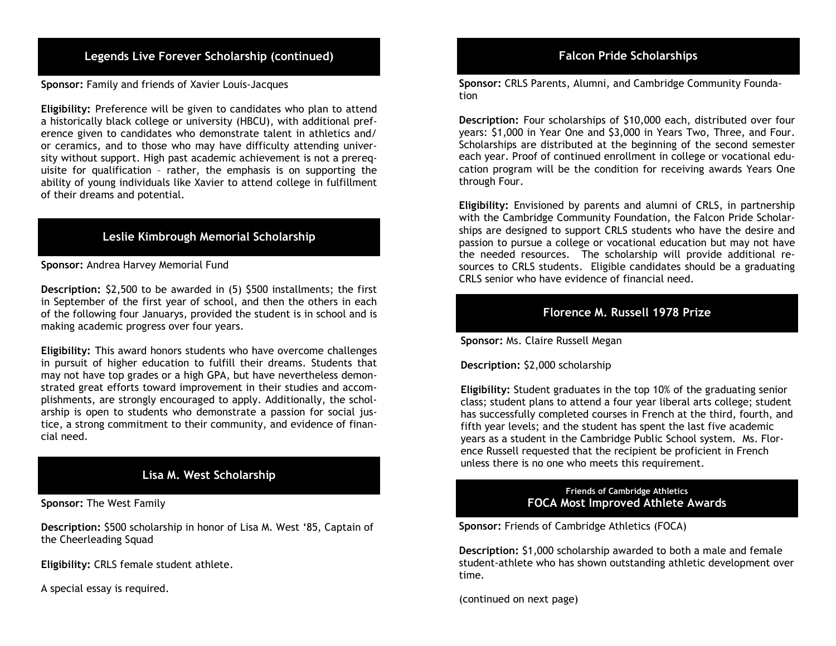# Legends Live Forever Scholarship (continued) Falcon Pride Scholarships

Sponsor: Family and friends of Xavier Louis-Jacques

 Eligibility: Preference will be given to candidates who plan to attend a historically black college or university (HBCU), with additional pref- erence given to candidates who demonstrate talent in athletics and/ or ceramics, and to those who may have difficulty attending univer- sity without support. High past academic achievement is not a prereq- uisite for qualification – rather, the emphasis is on supporting the ability of young individuals like Xavier to attend college in fulfillment of their dreams and potential.

# Leslie Kimbrough Memorial Scholarship

Sponsor: Andrea Harvey Memorial Fund

 Description: \$2,500 to be awarded in (5) \$500 installments; the first in September of the first year of school, and then the others in each of the following four Januarys, provided the student is in school and is making academic progress over four years.

 Eligibility: This award honors students who have overcome challenges in pursuit of higher education to fulfill their dreams. Students that may not have top grades or a high GPA, but have nevertheless demon- strated great efforts toward improvement in their studies and accom- plishments, are strongly encouraged to apply. Additionally, the schol- arship is open to students who demonstrate a passion for social jus- tice, a strong commitment to their community, and evidence of finan-cial need.

# Lisa M. West Scholarship

Sponsor: The West Family

 Description: \$500 scholarship in honor of Lisa M. West '85, Captain of the Cheerleading Squad

Eligibility: CRLS female student athlete.

A special essay is required.

Sponsor: CRLS Parents, Alumni, and Cambridge Community Foundation

 Description: Four scholarships of \$10,000 each, distributed over four years: \$1,000 in Year One and \$3,000 in Years Two, Three, and Four. Scholarships are distributed at the beginning of the second semester each year. Proof of continued enrollment in college or vocational edu- cation program will be the condition for receiving awards Years One through Four.

 Eligibility: Envisioned by parents and alumni of CRLS, in partnership ships are designed to support CRLS students who have the desire and passion to pursue a college or vocational education but may not have the needed resources. The scholarship will provide additional re- sources to CRLS students. Eligible candidates should be a graduating CRLS senior who have evidence of financial need. with the Cambridge Community Foundation, the Falcon Pride Scholar-

### Florence M. Russell 1978 Prize

Sponsor: Ms. Claire Russell Megan

Description: \$2,000 scholarship

 class; student plans to attend a four year liberal arts college; student years as a student in the Cambridge Public School system. Ms. Flor- unless there is no one who meets this requirement. Eligibility: Student graduates in the top 10% of the graduating senior has successfully completed courses in French at the third, fourth, and fifth year levels; and the student has spent the last five academic ence Russell requested that the recipient be proficient in French

#### Friends of Cambridge Athletics FOCA Most Improved Athlete Awards

Sponsor: Friends of Cambridge Athletics (FOCA)

Description: \$1,000 scholarship awarded to both a male and female student-athlete who has shown outstanding athletic development over time.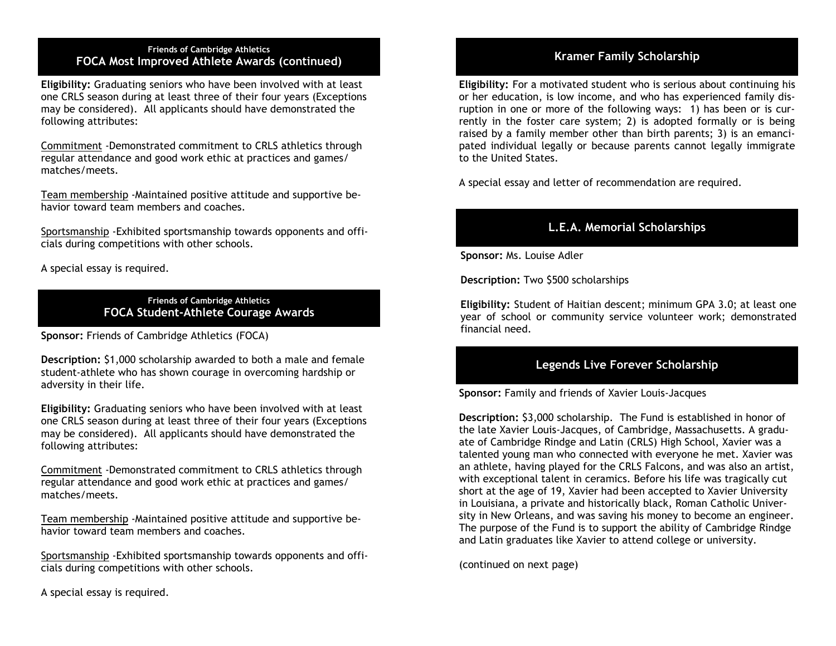#### Friends of Cambridge Athletics For the continuum of the continued of the continued of the continued of the continued of the continued of the continued of the continued of the continued of the continued of the continued of the continued of the continued

Eligibility: Graduating seniors who have been involved with at least one CRLS season during at least three of their four years (Exceptions may be considered). All applicants should have demonstrated the following attributes:

 matches/meets. Commitment -Demonstrated commitment to CRLS athletics through regular attendance and good work ethic at practices and games/

 havior toward team members and coaches. Team membership -Maintained positive attitude and supportive be-

Sportsmanship -Exhibited sportsmanship towards opponents and officials during competitions with other schools.

A special essay is required.

 Friends of Cambridge Athletics FOCA Student-Athlete Courage Awards

Sponsor: Friends of Cambridge Athletics (FOCA)

 adversity in their life. Description: \$1,000 scholarship awarded to both a male and female student-athlete who has shown courage in overcoming hardship or

Eligibility: Graduating seniors who have been involved with at least one CRLS season during at least three of their four years (Exceptions may be considered). All applicants should have demonstrated the following attributes:

 matches/meets. Commitment -Demonstrated commitment to CRLS athletics through regular attendance and good work ethic at practices and games/

 havior toward team members and coaches. Team membership -Maintained positive attitude and supportive be-

Sportsmanship -Exhibited sportsmanship towards opponents and officials during competitions with other schools.

A special essay is required.

 Eligibility: For a motivated student who is serious about continuing his or her education, is low income, and who has experienced family dis- ruption in one or more of the following ways: 1) has been or is cur- rently in the foster care system; 2) is adopted formally or is being raised by a family member other than birth parents; 3) is an emanci- pated individual legally or because parents cannot legally immigrate to the United States.

A special essay and letter of recommendation are required.

# L.E.A. Memorial Scholarships

Sponsor: Ms. Louise Adler

Description: Two \$500 scholarships

 Eligibility: Student of Haitian descent; minimum GPA 3.0; at least one year of school or community service volunteer work; demonstrated financial need.

#### Legends Live Forever Scholarship

Sponsor: Family and friends of Xavier Louis-Jacques

 talented young man who connected with everyone he met. Xavier was with exceptional talent in ceramics. Before his life was tragically cut The purpose of the Fund is to support the ability of Cambridge Rindge and Latin graduates like Xavier to attend college or university. Description: \$3,000 scholarship. The Fund is established in honor of the late Xavier Louis-Jacques, of Cambridge, Massachusetts. A graduate of Cambridge Rindge and Latin (CRLS) High School, Xavier was a an athlete, having played for the CRLS Falcons, and was also an artist, short at the age of 19, Xavier had been accepted to Xavier University in Louisiana, a private and historically black, Roman Catholic University in New Orleans, and was saving his money to become an engineer.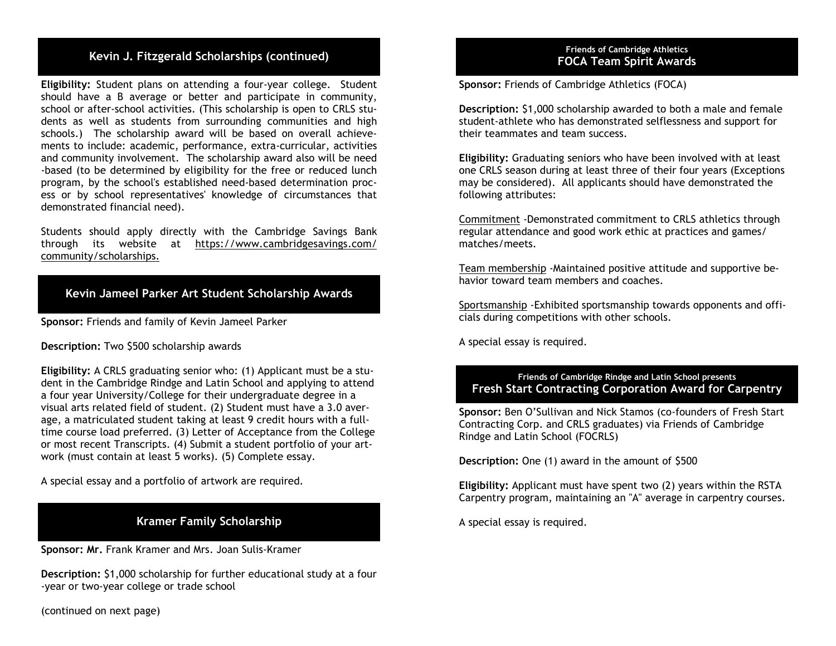# Kevin J. Fitzgerald Scholarships (continued)

 Eligibility: Student plans on attending a four-year college. Student should have a B average or better and participate in community, school or after-school activities. (This scholarship is open to CRLS stu- dents as well as students from surrounding communities and high schools.) The scholarship award will be based on overall achieve- ments to include: academic, performance, extra-curricular, activities and community involvement. The scholarship award also will be need -based (to be determined by eligibility for the free or reduced lunch program, by the school's established need-based determination proc- ess or by school representatives' knowledge of circumstances that demonstrated financial need).

 Students should apply directly with the Cambridge Savings Bank community/scholarships. through its website at <https://www.cambridgesavings.com>/

# Kevin Jameel Parker Art Student Scholarship Awards

Sponsor: Friends and family of Kevin Jameel Parker

Description: Two \$500 scholarship awards

 time course load preferred. (3) Letter of Acceptance from the College or most recent Transcripts. (4) Submit a student portfolio of your art- work (must contain at least 5 works). (5) Complete essay. Eligibility: A CRLS graduating senior who: (1) Applicant must be a student in the Cambridge Rindge and Latin School and applying to attend a four year University/College for their undergraduate degree in a visual arts related field of student. (2) Student must have a 3.0 average, a matriculated student taking at least 9 credit hours with a full-

A special essay and a portfolio of artwork are required.

# Kramer Family Scholarship

Sponsor: Mr. Frank Kramer and Mrs. Joan Sulis-Kramer

Description: \$1,000 scholarship for further educational study at a four -year or two-year college or trade school

(continued on next page)

#### **Friends of Cambridge Athletics** FOCA Team Spirit Awards

Sponsor: Friends of Cambridge Athletics (FOCA)

Description: \$1,000 scholarship awarded to both a male and female student-athlete who has demonstrated selflessness and support for their teammates and team success.

Eligibility: Graduating seniors who have been involved with at least one CRLS season during at least three of their four years (Exceptions may be considered). All applicants should have demonstrated the following attributes:

 matches/meets. Commitment -Demonstrated commitment to CRLS athletics through regular attendance and good work ethic at practices and games/

 havior toward team members and coaches. Team membership -Maintained positive attitude and supportive be-

Sportsmanship -Exhibited sportsmanship towards opponents and officials during competitions with other schools.

A special essay is required.

#### Friends of Cambridge Rindge and Latin School presents Fresh Start Contracting Corporation Award for Carpentry

Sponsor: Ben O'Sullivan and Nick Stamos (co-founders of Fresh Start Contracting Corp. and CRLS graduates) via Friends of Cambridge Rindge and Latin School (FOCRLS)

Description: One (1) award in the amount of \$500

 Carpentry program, maintaining an "A" average in carpentry courses. Eligibility: Applicant must have spent two (2) years within the RSTA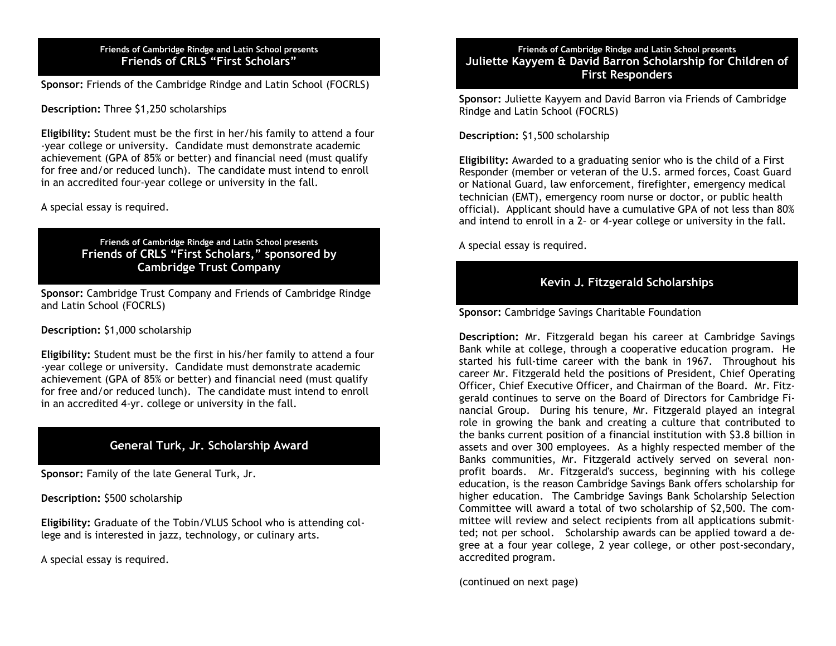#### Friends of Cambridge Rindge and Latin School presents Friends of CRLS "First Scholars"

Sponsor: Friends of the Cambridge Rindge and Latin School (FOCRLS) Sponsor: Friends of the Cambridge Rindge and Latin School (FOCRLS)

Description: Three \$1,250 scholarships

 in an accredited four-year college or university in the fall. Eligibility: Student must be the first in her/his family to attend a four -year college or university. Candidate must demonstrate academic achievement (GPA of 85% or better) and financial need (must qualify for free and/or reduced lunch). The candidate must intend to enroll

#### A special essay is required.

 Friends of Cambridge Rindge and Latin School presents Friends of CRLS "First Scholars," sponsored by Cambridge Trust Company

Sponsor: Cambridge Trust Company and Friends of Cambridge Rindge and Latin School (FOCRLS)

#### Description: \$1,000 scholarship

Eligibility: Student must be the first in his/her family to attend a four -year college or university. Candidate must demonstrate academic achievement (GPA of 85% or better) and financial need (must qualify for free and/or reduced lunch). The candidate must intend to enroll in an accredited 4-yr. college or university in the fall.

# General Turk, Jr. Scholarship Award

Sponsor: Family of the late General Turk, Jr.

Description: \$500 scholarship

 Eligibility: Graduate of the Tobin/VLUS School who is attending college and is interested in jazz, technology, or culinary arts.

A special essay is required.

# Friends of Cambridge Rindge and Latin School presents Juliette Kayyem & David Barron Scholarship for Children of

Sponsor: Juliette Kayyem and David Barron via Friends of Cambridge Rindge and Latin School (FOCRLS)

Description: \$1,500 scholarship

 Responder (member or veteran of the U.S. armed forces, Coast Guard technician (EMT), emergency room nurse or doctor, or public health official). Applicant should have a cumulative GPA of not less than 80% Eligibility: Awarded to a graduating senior who is the child of a First or National Guard, law enforcement, firefighter, emergency medical and intend to enroll in a 2– or 4-year college or university in the fall.

A special essay is required.

# Kevin J. Fitzgerald Scholarships

Sponsor: Cambridge Savings Charitable Foundation

Description: Mr. Fitzgerald began his career at Cambridge Savings Bank while at college, through a cooperative education program. He started his full-time career with the bank in 1967. Throughout his career Mr. Fitzgerald held the positions of President, Chief Operating Officer, Chief Executive Officer, and Chairman of the Board. Mr. Fitz- gerald continues to serve on the Board of Directors for Cambridge Fi- nancial Group. During his tenure, Mr. Fitzgerald played an integral role in growing the bank and creating a culture that contributed to the banks current position of a financial institution with \$3.8 billion in assets and over 300 employees. As a highly respected member of the Banks communities, Mr. Fitzgerald actively served on several non- profit boards. Mr. Fitzgerald's success, beginning with his college education, is the reason Cambridge Savings Bank offers scholarship for higher education. The Cambridge Savings Bank Scholarship Selection Committee will award a total of two scholarship of \$2,500. The com- mittee will review and select recipients from all applications submit- ted; not per school. Scholarship awards can be applied toward a de- gree at a four year college, 2 year college, or other post-secondary, accredited program.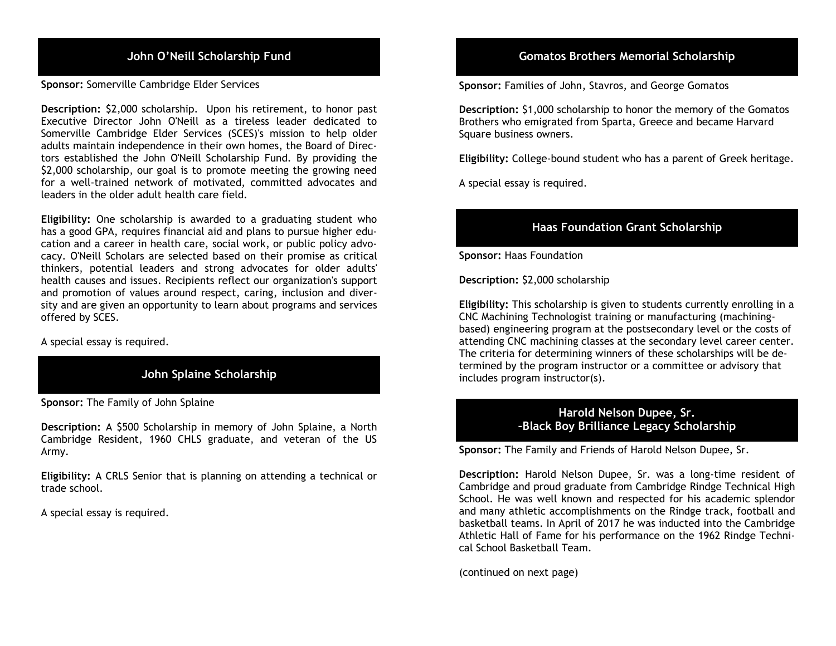Sponsor: Somerville Cambridge Elder Services

 Description: \$2,000 scholarship. Upon his retirement, to honor past Executive Director John O'Neill as a tireless leader dedicated to Somerville Cambridge Elder Services (SCES)'s mission to help older adults maintain independence in their own homes, the Board of Direc- tors established the John O'Neill Scholarship Fund. By providing the \$2,000 scholarship, our goal is to promote meeting the growing need for a well-trained network of motivated, committed advocates and leaders in the older adult health care field.

 Eligibility: One scholarship is awarded to a graduating student who has a good GPA, requires financial aid and plans to pursue higher edu- cation and a career in health care, social work, or public policy advo- cacy. O'Neill Scholars are selected based on their promise as critical thinkers, potential leaders and strong advocates for older adults' health causes and issues. Recipients reflect our organization's support and promotion of values around respect, caring, inclusion and diver- offered by SCES. sity and are given an opportunity to learn about programs and services

A special essay is required.

# John Splaine Scholarship

Sponsor: The Family of John Splaine

 Description: A \$500 Scholarship in memory of John Splaine, a North Cambridge Resident, 1960 CHLS graduate, and veteran of the US Army.

 Eligibility: A CRLS Senior that is planning on attending a technical or trade school.

A special essay is required.

# John O'Neill Scholarship Fund Gomatos Brothers Memorial Scholarship

Sponsor: Families of John, Stavros, and George Gomatos

Description: \$1,000 scholarship to honor the memory of the Gomatos Brothers who emigrated from Sparta, Greece and became Harvard Square business owners.

Eligibility: College-bound student who has a parent of Greek heritage.

A special essay is required.

# Haas Foundation Grant Scholarship

Sponsor: Haas Foundation

Description: \$2,000 scholarship

Eligibility: This scholarship is given to students currently enrolling in a CNC Machining Technologist training or manufacturing (machiningbased) engineering program at the postsecondary level or the costs of attending CNC machining classes at the secondary level career center. The criteria for determining winners of these scholarships will be determined by the program instructor or a committee or advisory that includes program instructor(s).

# –Black Boy Brilliance Legacy Scholarship Harold Nelson Dupee, Sr.

Sponsor: The Family and Friends of Harold Nelson Dupee, Sr.

Description: Harold Nelson Dupee, Sr. was a long-time resident of Cambridge and proud graduate from Cambridge Rindge Technical High School. He was well known and respected for his academic splendor and many athletic accomplishments on the Rindge track, football and basketball teams. In April of 2017 he was inducted into the Cambridge Athletic Hall of Fame for his performance on the 1962 Rindge Techni-cal School Basketball Team.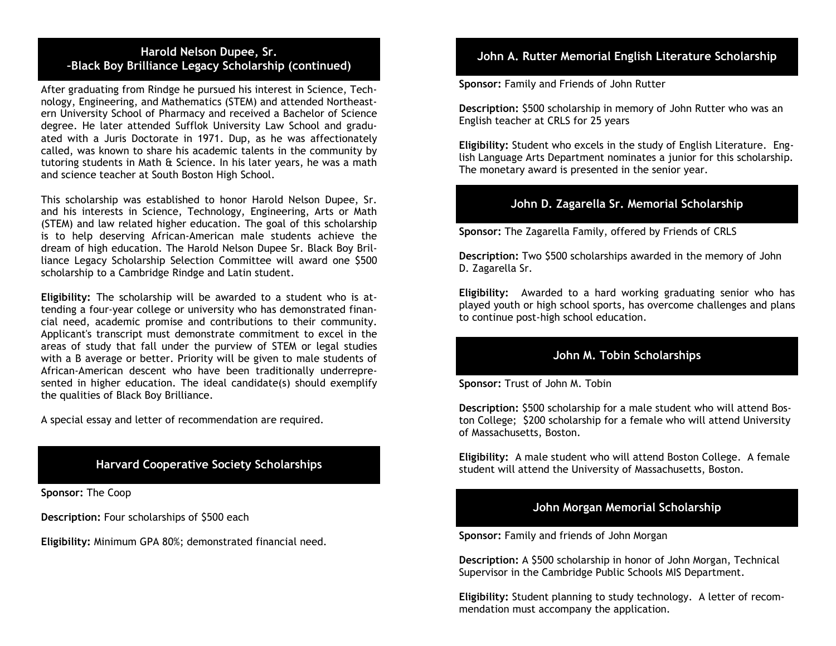#### –Black Boy Brilliance Legacy Scholarship (continued) Harold Nelson Dupee, Sr.

 After graduating from Rindge he pursued his interest in Science, Tech- nology, Engineering, and Mathematics (STEM) and attended Northeast- ern University School of Pharmacy and received a Bachelor of Science degree. He later attended Sufflok University Law School and gradu- ated with a Juris Doctorate in 1971. Dup, as he was affectionately called, was known to share his academic talents in the community by tutoring students in Math & Science. In his later years, he was a math and science teacher at South Boston High School.

 This scholarship was established to honor Harold Nelson Dupee, Sr. and his interests in Science, Technology, Engineering, Arts or Math (STEM) and law related higher education. The goal of this scholarship is to help deserving African-American male students achieve the dream of high education. The Harold Nelson Dupee Sr. Black Boy Bril- liance Legacy Scholarship Selection Committee will award one \$500 scholarship to a Cambridge Rindge and Latin student.

 Eligibility: The scholarship will be awarded to a student who is at- tending a four-year college or university who has demonstrated finan- cial need, academic promise and contributions to their community. Applicant's transcript must demonstrate commitment to excel in the areas of study that fall under the purview of STEM or legal studies with a B average or better. Priority will be given to male students of African-American descent who have been traditionally underrepre- sented in higher education. The ideal candidate(s) should exemplify the qualities of Black Boy Brilliance.

A special essay and letter of recommendation are required.

#### Harvard Cooperative Society Scholarships

Sponsor: The Coop

Description: Four scholarships of \$500 each

Eligibility: Minimum GPA 80%; demonstrated financial need.

# John A. Rutter Memorial English Literature Scholarship

Sponsor: Family and Friends of John Rutter

 Description: \$500 scholarship in memory of John Rutter who was an English teacher at CRLS for 25 years

 Eligibility: Student who excels in the study of English Literature. Eng- lish Language Arts Department nominates a junior for this scholarship. The monetary award is presented in the senior year.

### John D. Zagarella Sr. Memorial Scholarship

Sponsor: The Zagarella Family, offered by Friends of CRLS

Description: Two \$500 scholarships awarded in the memory of John D. Zagarella Sr.

 Eligibility: Awarded to a hard working graduating senior who has played youth or high school sports, has overcome challenges and plans to continue post-high school education.

#### John M. Tobin Scholarships

Sponsor: Trust of John M. Tobin

Description: \$500 scholarship for a male student who will attend Boston College; \$200 scholarship for a female who will attend University of Massachusetts, Boston.

Eligibility: A male student who will attend Boston College. A female student will attend the University of Massachusetts, Boston.

#### John Morgan Memorial Scholarship

Sponsor: Family and friends of John Morgan

 Description: A \$500 scholarship in honor of John Morgan, Technical Supervisor in the Cambridge Public Schools MIS Department.

 Eligibility: Student planning to study technology. A letter of recom-mendation must accompany the application.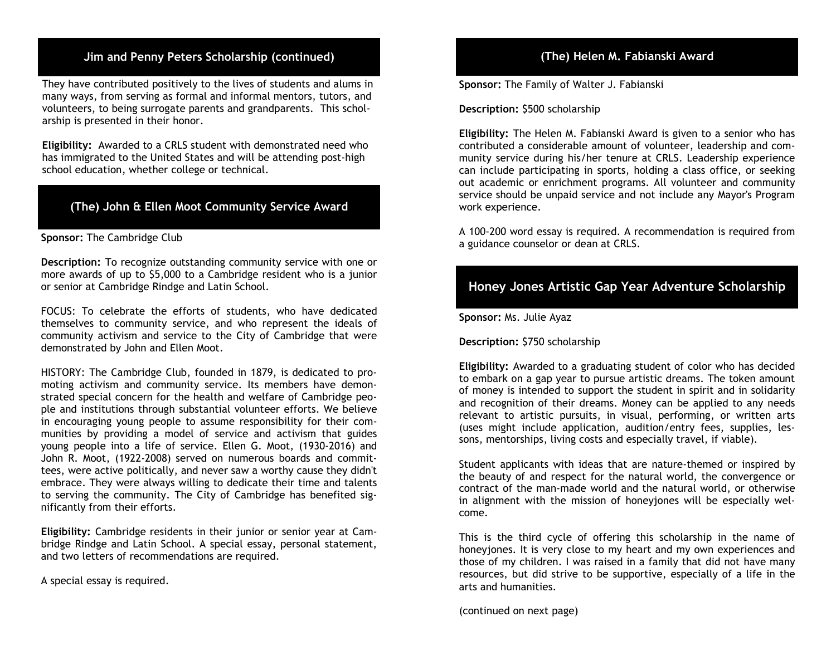# Jim and Penny Peters Scholarship (continued) (The) Helen M. Fabianski Award

 many ways, from serving as formal and informal mentors, tutors, and volunteers, to being surrogate parents and grandparents. This schol- arship is presented in their honor. They have contributed positively to the lives of students and alums in

 Eligibility: Awarded to a CRLS student with demonstrated need who school education, whether college or technical. has immigrated to the United States and will be attending post-high

# (The) John & Ellen Moot Community Service Award

#### Sponsor: The Cambridge Club

Description: To recognize outstanding community service with one or more awards of up to \$5,000 to a Cambridge resident who is a junior or senior at Cambridge Rindge and Latin School.

 FOCUS: To celebrate the efforts of students, who have dedicated themselves to community service, and who represent the ideals of community activism and service to the City of Cambridge that were demonstrated by John and Ellen Moot.

 HISTORY: The Cambridge Club, founded in 1879, is dedicated to pro- moting activism and community service. Its members have demon- strated special concern for the health and welfare of Cambridge peo- ple and institutions through substantial volunteer efforts. We believe in encouraging young people to assume responsibility for their com- munities by providing a model of service and activism that guides young people into a life of service. Ellen G. Moot, (1930-2016) and John R. Moot, (1922-2008) served on numerous boards and commit- embrace. They were always willing to dedicate their time and talents to serving the community. The City of Cambridge has benefited sig- nificantly from their efforts. tees, were active politically, and never saw a worthy cause they didn't

 Eligibility: Cambridge residents in their junior or senior year at Cam- bridge Rindge and Latin School. A special essay, personal statement, and two letters of recommendations are required.

A special essay is required.

# (The) Helen M. Fabianski Award

Sponsor: The Family of Walter J. Fabianski

Description: \$500 scholarship

 Eligibility: The Helen M. Fabianski Award is given to a senior who has contributed a considerable amount of volunteer, leadership and com- munity service during his/her tenure at CRLS. Leadership experience can include participating in sports, holding a class office, or seeking out academic or enrichment programs. All volunteer and community service should be unpaid service and not include any Mayor's Program work experience.

 A 100-200 word essay is required. A recommendation is required from a guidance counselor or dean at CRLS.

# Honey Jones Artistic Gap Year Adventure Scholarship

Sponsor: Ms. Julie Ayaz

Description: \$750 scholarship

 Eligibility: Awarded to a graduating student of color who has decided to embark on a gap year to pursue artistic dreams. The token amount of money is intended to support the student in spirit and in solidarity and recognition of their dreams. Money can be applied to any needs relevant to artistic pursuits, in visual, performing, or written arts sons, mentorships, living costs and especially travel, if viable). (uses might include application, audition/entry fees, supplies, les-

 Student applicants with ideas that are nature-themed or inspired by the beauty of and respect for the natural world, the convergence or contract of the man-made world and the natural world, or otherwise in alignment with the mission of honeyjones will be especially wel-come.

 This is the third cycle of offering this scholarship in the name of honeyjones. It is very close to my heart and my own experiences and those of my children. I was raised in a family that did not have many resources, but did strive to be supportive, especially of a life in the arts and humanities.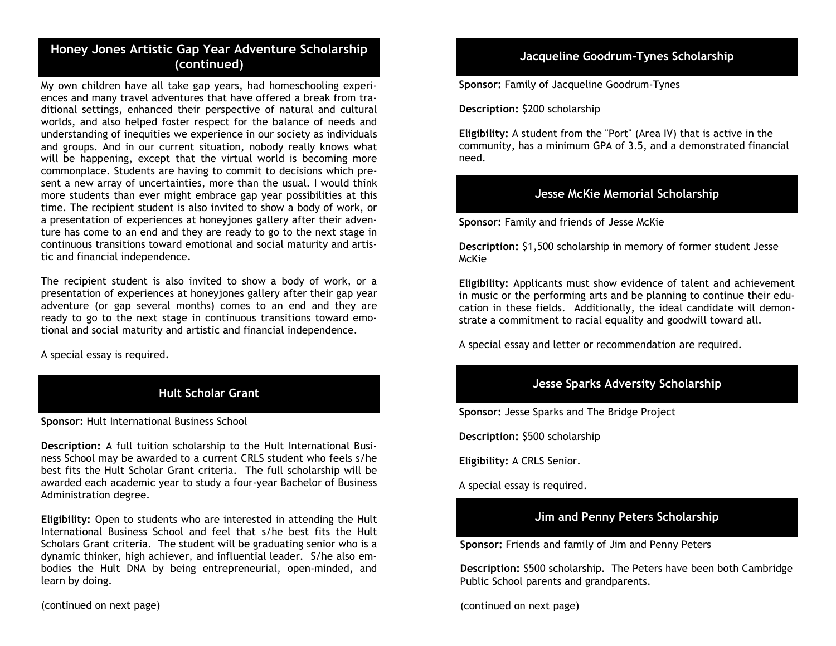# Honey Jones Artistic Gap Year Adventure Scholarship (continued) Jacqueline Goodrum-Tynes Scholarship

 My own children have all take gap years, had homeschooling experi- ences and many travel adventures that have offered a break from tra- ditional settings, enhanced their perspective of natural and cultural worlds, and also helped foster respect for the balance of needs and and groups. And in our current situation, nobody really knows what will be happening, except that the virtual world is becoming more commonplace. Students are having to commit to decisions which pre- sent a new array of uncertainties, more than the usual. I would think more students than ever might embrace gap year possibilities at this time. The recipient student is also invited to show a body of work, or a presentation of experiences at honeyjones gallery after their adven- ture has come to an end and they are ready to go to the next stage in continuous transitions toward emotional and social maturity and artis- tic and financial independence. understanding of inequities we experience in our society as individuals

 The recipient student is also invited to show a body of work, or a presentation of experiences at honeyjones gallery after their gap year adventure (or gap several months) comes to an end and they are ready to go to the next stage in continuous transitions toward emo-tional and social maturity and artistic and financial independence.

A special essay is required.



Sponsor: Hult International Business School

Description: A full tuition scholarship to the Hult International Busi- ness School may be awarded to a current CRLS student who feels s/he best fits the Hult Scholar Grant criteria. The full scholarship will be awarded each academic year to study a four-year Bachelor of Business Administration degree.

 Eligibility: Open to students who are interested in attending the Hult International Business School and feel that s/he best fits the Hult Scholars Grant criteria. The student will be graduating senior who is a dynamic thinker, high achiever, and influential leader. S/he also em- bodies the Hult DNA by being entrepreneurial, open-minded, and learn by doing.

(continued on next page)

Sponsor: Family of Jacqueline Goodrum-Tynes

Description: \$200 scholarship

 Eligibility: A student from the "Port" (Area IV) that is active in the community, has a minimum GPA of 3.5, and a demonstrated financial need.

#### Jesse McKie Memorial Scholarship

Sponsor: Family and friends of Jesse McKie

 Description: \$1,500 scholarship in memory of former student Jesse McKie

 Eligibility: Applicants must show evidence of talent and achievement in music or the performing arts and be planning to continue their edu- cation in these fields. Additionally, the ideal candidate will demon-strate a commitment to racial equality and goodwill toward all.

A special essay and letter or recommendation are required.

# Jesse Sparks Adversity Scholarship

Sponsor: Jesse Sparks and The Bridge Project

Description: \$500 scholarship

Eligibility: A CRLS Senior.

A special essay is required.

# Jim and Penny Peters Scholarship

Sponsor: Friends and family of Jim and Penny Peters

 Description: \$500 scholarship. The Peters have been both Cambridge Public School parents and grandparents.